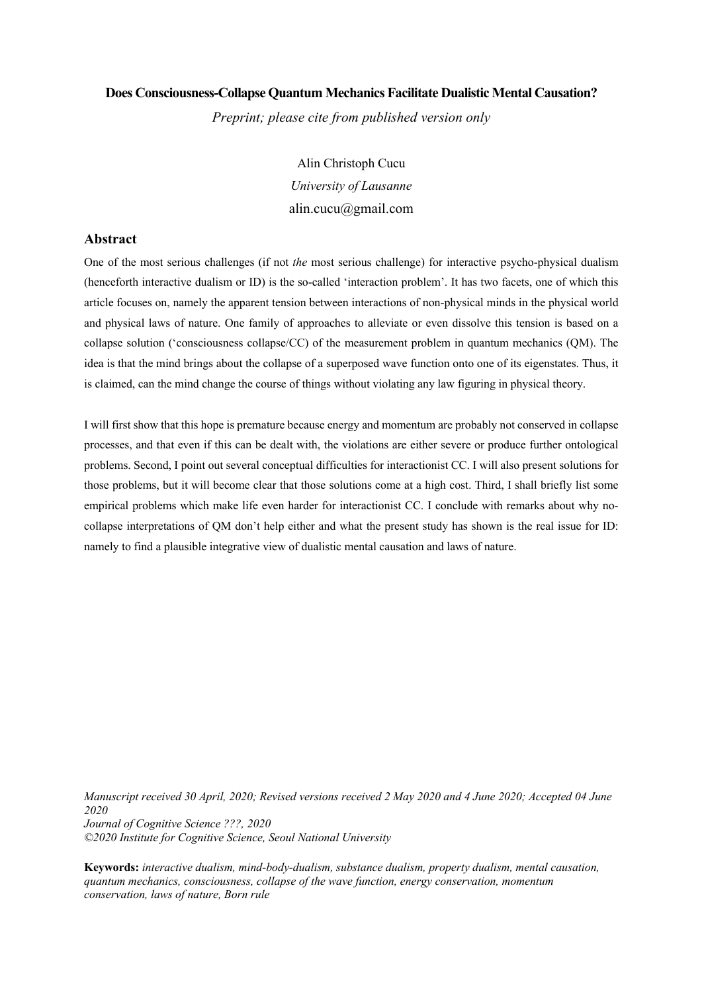## **Does Consciousness-Collapse Quantum Mechanics Facilitate Dualistic Mental Causation?**

*Preprint; please cite from published version only*

Alin Christoph Cucu *University of Lausanne* alin.cucu@gmail.com

# **Abstract**

One of the most serious challenges (if not *the* most serious challenge) for interactive psycho-physical dualism (henceforth interactive dualism or ID) is the so-called 'interaction problem'. It has two facets, one of which this article focuses on, namely the apparent tension between interactions of non-physical minds in the physical world and physical laws of nature. One family of approaches to alleviate or even dissolve this tension is based on a collapse solution ('consciousness collapse/CC) of the measurement problem in quantum mechanics (QM). The idea is that the mind brings about the collapse of a superposed wave function onto one of its eigenstates. Thus, it is claimed, can the mind change the course of things without violating any law figuring in physical theory.

I will first show that this hope is premature because energy and momentum are probably not conserved in collapse processes, and that even if this can be dealt with, the violations are either severe or produce further ontological problems. Second, I point out several conceptual difficulties for interactionist CC. I will also present solutions for those problems, but it will become clear that those solutions come at a high cost. Third, I shall briefly list some empirical problems which make life even harder for interactionist CC. I conclude with remarks about why nocollapse interpretations of QM don't help either and what the present study has shown is the real issue for ID: namely to find a plausible integrative view of dualistic mental causation and laws of nature.

*Manuscript received 30 April, 2020; Revised versions received 2 May 2020 and 4 June 2020; Accepted 04 June 2020 Journal of Cognitive Science ???, 2020 ©2020 Institute for Cognitive Science, Seoul National University* 

**Keywords:** *interactive dualism, mind-body-dualism, substance dualism, property dualism, mental causation, quantum mechanics, consciousness, collapse of the wave function, energy conservation, momentum conservation, laws of nature, Born rule*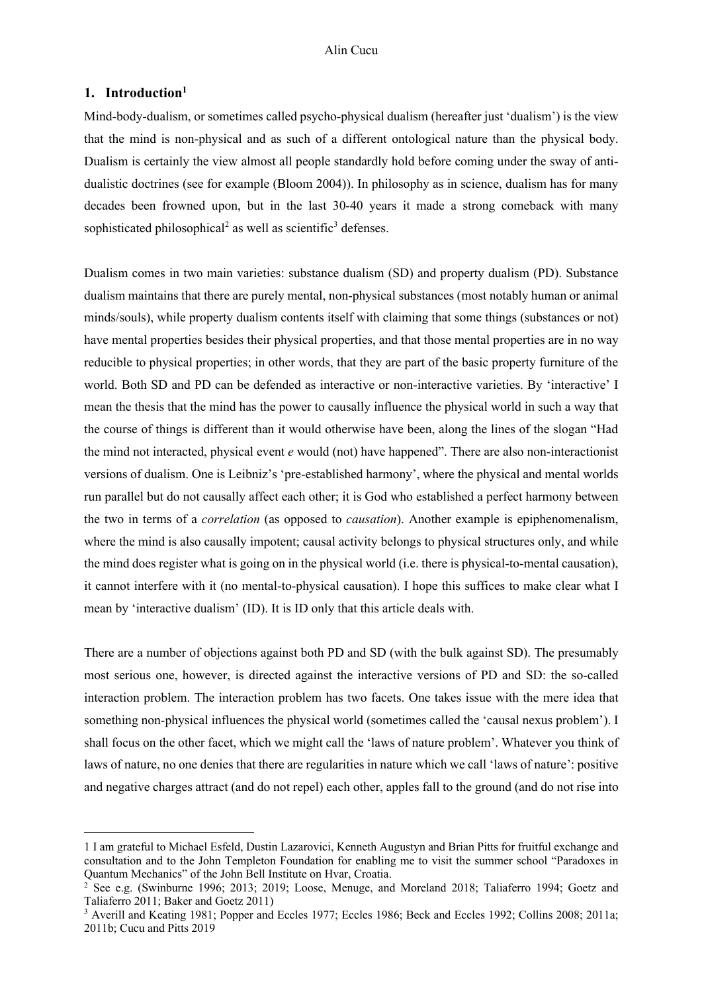## **1. Introduction1**

Mind-body-dualism, or sometimes called psycho-physical dualism (hereafter just 'dualism') is the view that the mind is non-physical and as such of a different ontological nature than the physical body. Dualism is certainly the view almost all people standardly hold before coming under the sway of antidualistic doctrines (see for example (Bloom 2004)). In philosophy as in science, dualism has for many decades been frowned upon, but in the last 30-40 years it made a strong comeback with many sophisticated philosophical<sup>2</sup> as well as scientific<sup>3</sup> defenses.

Dualism comes in two main varieties: substance dualism (SD) and property dualism (PD). Substance dualism maintains that there are purely mental, non-physical substances (most notably human or animal minds/souls), while property dualism contents itself with claiming that some things (substances or not) have mental properties besides their physical properties, and that those mental properties are in no way reducible to physical properties; in other words, that they are part of the basic property furniture of the world. Both SD and PD can be defended as interactive or non-interactive varieties. By 'interactive' I mean the thesis that the mind has the power to causally influence the physical world in such a way that the course of things is different than it would otherwise have been, along the lines of the slogan "Had the mind not interacted, physical event *e* would (not) have happened". There are also non-interactionist versions of dualism. One is Leibniz's 'pre-established harmony', where the physical and mental worlds run parallel but do not causally affect each other; it is God who established a perfect harmony between the two in terms of a *correlation* (as opposed to *causation*). Another example is epiphenomenalism, where the mind is also causally impotent; causal activity belongs to physical structures only, and while the mind does register what is going on in the physical world (i.e. there is physical-to-mental causation), it cannot interfere with it (no mental-to-physical causation). I hope this suffices to make clear what I mean by 'interactive dualism' (ID). It is ID only that this article deals with.

There are a number of objections against both PD and SD (with the bulk against SD). The presumably most serious one, however, is directed against the interactive versions of PD and SD: the so-called interaction problem. The interaction problem has two facets. One takes issue with the mere idea that something non-physical influences the physical world (sometimes called the 'causal nexus problem'). I shall focus on the other facet, which we might call the 'laws of nature problem'. Whatever you think of laws of nature, no one denies that there are regularities in nature which we call 'laws of nature': positive and negative charges attract (and do not repel) each other, apples fall to the ground (and do not rise into

<sup>1</sup> I am grateful to Michael Esfeld, Dustin Lazarovici, Kenneth Augustyn and Brian Pitts for fruitful exchange and consultation and to the John Templeton Foundation for enabling me to visit the summer school "Paradoxes in Quantum Mechanics" of the John Bell Institute on Hvar, Croatia.

 $2$  See e.g. (Swinburne 1996; 2013; 2019; Loose, Menuge, and Moreland 2018; Taliaferro 1994; Goetz and Taliaferro 2011; Baker and Goetz 2011)

<sup>3</sup> Averill and Keating 1981; Popper and Eccles 1977; Eccles 1986; Beck and Eccles 1992; Collins 2008; 2011a; 2011b; Cucu and Pitts 2019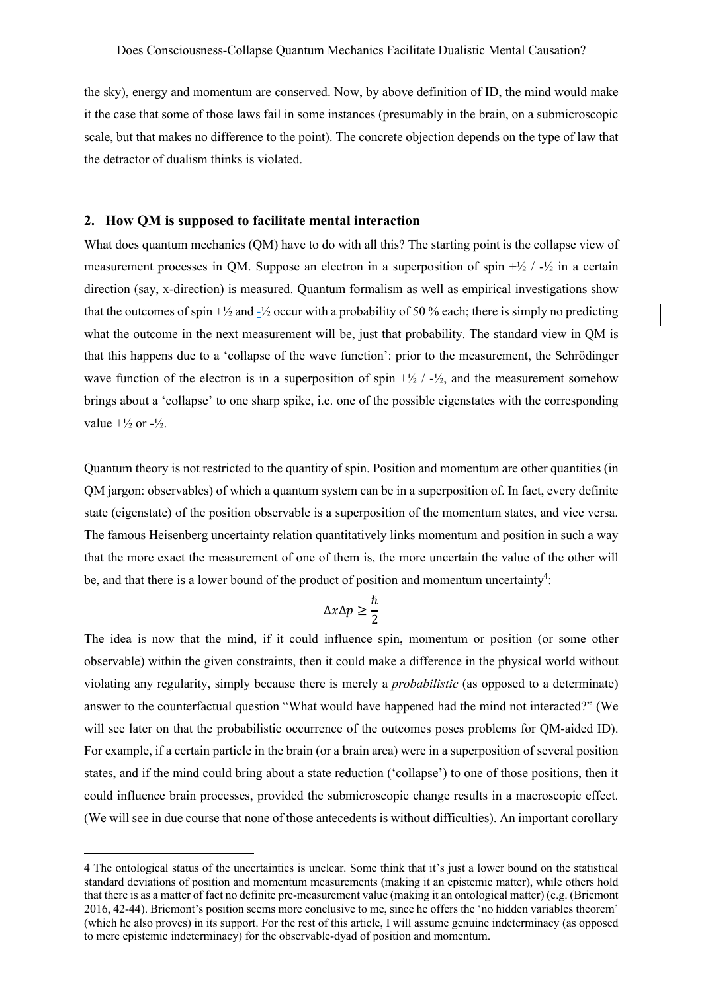the sky), energy and momentum are conserved. Now, by above definition of ID, the mind would make it the case that some of those laws fail in some instances (presumably in the brain, on a submicroscopic scale, but that makes no difference to the point). The concrete objection depends on the type of law that the detractor of dualism thinks is violated.

#### **2. How QM is supposed to facilitate mental interaction**

What does quantum mechanics (QM) have to do with all this? The starting point is the collapse view of measurement processes in OM. Suppose an electron in a superposition of spin  $+//2$   $-/-/2$  in a certain direction (say, x-direction) is measured. Quantum formalism as well as empirical investigations show that the outcomes of spin  $+\frac{1}{2}$  and  $-\frac{1}{2}$  occur with a probability of 50 % each; there is simply no predicting what the outcome in the next measurement will be, just that probability. The standard view in QM is that this happens due to a 'collapse of the wave function': prior to the measurement, the Schrödinger wave function of the electron is in a superposition of spin  $+\frac{1}{2}$  /  $-\frac{1}{2}$ , and the measurement somehow brings about a 'collapse' to one sharp spike, i.e. one of the possible eigenstates with the corresponding value  $+1/2$  or  $-1/2$ .

Quantum theory is not restricted to the quantity of spin. Position and momentum are other quantities (in QM jargon: observables) of which a quantum system can be in a superposition of. In fact, every definite state (eigenstate) of the position observable is a superposition of the momentum states, and vice versa. The famous Heisenberg uncertainty relation quantitatively links momentum and position in such a way that the more exact the measurement of one of them is, the more uncertain the value of the other will be, and that there is a lower bound of the product of position and momentum uncertainty<sup>4</sup>:

$$
\Delta x \Delta p \geq \frac{\hbar}{2}
$$

The idea is now that the mind, if it could influence spin, momentum or position (or some other observable) within the given constraints, then it could make a difference in the physical world without violating any regularity, simply because there is merely a *probabilistic* (as opposed to a determinate) answer to the counterfactual question "What would have happened had the mind not interacted?" (We will see later on that the probabilistic occurrence of the outcomes poses problems for QM-aided ID). For example, if a certain particle in the brain (or a brain area) were in a superposition of several position states, and if the mind could bring about a state reduction ('collapse') to one of those positions, then it could influence brain processes, provided the submicroscopic change results in a macroscopic effect. (We will see in due course that none of those antecedents is without difficulties). An important corollary

<sup>4</sup> The ontological status of the uncertainties is unclear. Some think that it's just a lower bound on the statistical standard deviations of position and momentum measurements (making it an epistemic matter), while others hold that there is as a matter of fact no definite pre-measurement value (making it an ontological matter) (e.g. (Bricmont 2016, 42-44). Bricmont's position seems more conclusive to me, since he offers the 'no hidden variables theorem' (which he also proves) in its support. For the rest of this article, I will assume genuine indeterminacy (as opposed to mere epistemic indeterminacy) for the observable-dyad of position and momentum.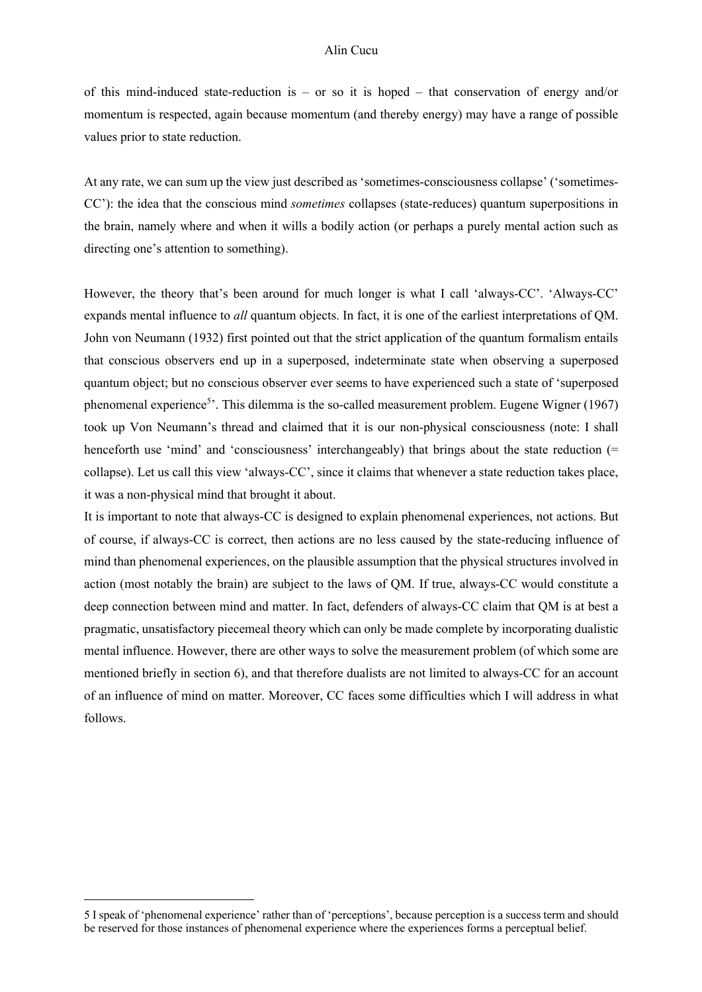of this mind-induced state-reduction is – or so it is hoped – that conservation of energy and/or momentum is respected, again because momentum (and thereby energy) may have a range of possible values prior to state reduction.

At any rate, we can sum up the view just described as 'sometimes-consciousness collapse' ('sometimes-CC'): the idea that the conscious mind *sometimes* collapses (state-reduces) quantum superpositions in the brain, namely where and when it wills a bodily action (or perhaps a purely mental action such as directing one's attention to something).

However, the theory that's been around for much longer is what I call 'always-CC'. 'Always-CC' expands mental influence to *all* quantum objects. In fact, it is one of the earliest interpretations of QM. John von Neumann (1932) first pointed out that the strict application of the quantum formalism entails that conscious observers end up in a superposed, indeterminate state when observing a superposed quantum object; but no conscious observer ever seems to have experienced such a state of 'superposed phenomenal experience<sup>5</sup>'. This dilemma is the so-called measurement problem. Eugene Wigner (1967) took up Von Neumann's thread and claimed that it is our non-physical consciousness (note: I shall henceforth use 'mind' and 'consciousness' interchangeably) that brings about the state reduction (= collapse). Let us call this view 'always-CC', since it claims that whenever a state reduction takes place, it was a non-physical mind that brought it about.

It is important to note that always-CC is designed to explain phenomenal experiences, not actions. But of course, if always-CC is correct, then actions are no less caused by the state-reducing influence of mind than phenomenal experiences, on the plausible assumption that the physical structures involved in action (most notably the brain) are subject to the laws of QM. If true, always-CC would constitute a deep connection between mind and matter. In fact, defenders of always-CC claim that QM is at best a pragmatic, unsatisfactory piecemeal theory which can only be made complete by incorporating dualistic mental influence. However, there are other ways to solve the measurement problem (of which some are mentioned briefly in section 6), and that therefore dualists are not limited to always-CC for an account of an influence of mind on matter. Moreover, CC faces some difficulties which I will address in what follows.

<sup>5</sup> I speak of 'phenomenal experience' rather than of 'perceptions', because perception is a success term and should be reserved for those instances of phenomenal experience where the experiences forms a perceptual belief.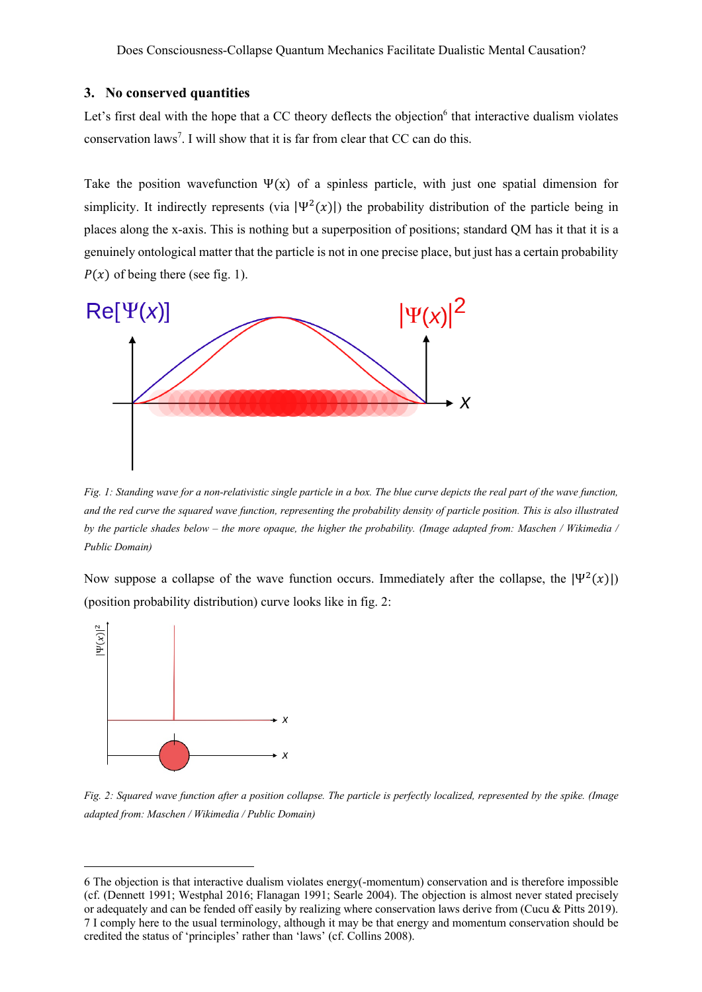## **3. No conserved quantities**

Let's first deal with the hope that a CC theory deflects the objection<sup>6</sup> that interactive dualism violates conservation laws<sup>7</sup>. I will show that it is far from clear that CC can do this.

Take the position wavefunction  $\Psi(x)$  of a spinless particle, with just one spatial dimension for simplicity. It indirectly represents (via  $|\Psi^2(x)|$ ) the probability distribution of the particle being in places along the x-axis. This is nothing but a superposition of positions; standard QM has it that it is a genuinely ontological matter that the particle is not in one precise place, but just has a certain probability  $P(x)$  of being there (see fig. 1).



*Fig. 1: Standing wave for a non-relativistic single particle in a box. The blue curve depicts the real part of the wave function, and the red curve the squared wave function, representing the probability density of particle position. This is also illustrated by the particle shades below – the more opaque, the higher the probability. (Image adapted from: Maschen / Wikimedia / Public Domain)*

Now suppose a collapse of the wave function occurs. Immediately after the collapse, the  $|\Psi^2(x)|$ (position probability distribution) curve looks like in fig. 2:



*Fig. 2: Squared wave function after a position collapse. The particle is perfectly localized, represented by the spike. (Image adapted from: Maschen / Wikimedia / Public Domain)*

<sup>6</sup> The objection is that interactive dualism violates energy(-momentum) conservation and is therefore impossible (cf. (Dennett 1991; Westphal 2016; Flanagan 1991; Searle 2004). The objection is almost never stated precisely or adequately and can be fended off easily by realizing where conservation laws derive from (Cucu & Pitts 2019). 7 I comply here to the usual terminology, although it may be that energy and momentum conservation should be credited the status of 'principles' rather than 'laws' (cf. Collins 2008).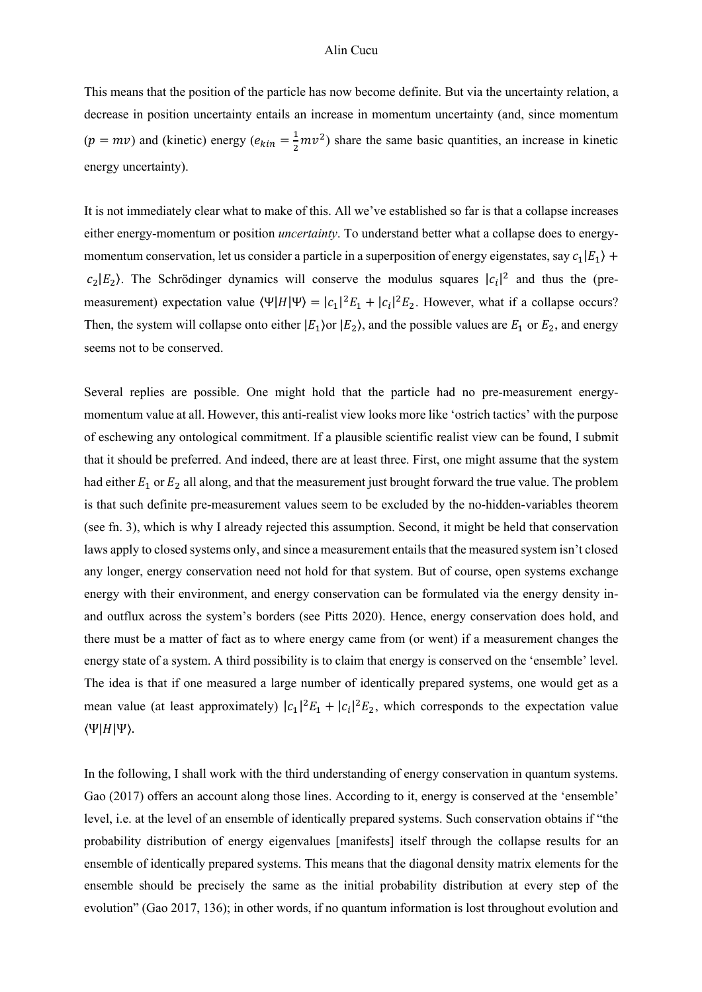This means that the position of the particle has now become definite. But via the uncertainty relation, a decrease in position uncertainty entails an increase in momentum uncertainty (and, since momentum  $(p = mv)$  and (kinetic) energy  $(e_{kin} = \frac{1}{2}mv^2)$  share the same basic quantities, an increase in kinetic energy uncertainty).

It is not immediately clear what to make of this. All we've established so far is that a collapse increases either energy-momentum or position *uncertainty*. To understand better what a collapse does to energymomentum conservation, let us consider a particle in a superposition of energy eigenstates, say  $c_1|E_1\rangle$  +  $c_2|E_2\rangle$ . The Schrödinger dynamics will conserve the modulus squares  $|c_i|^2$  and thus the (premeasurement) expectation value  $\langle \Psi | H | \Psi \rangle = |c_1|^2 E_1 + |c_i|^2 E_2$ . However, what if a collapse occurs? Then, the system will collapse onto either  $|E_1\rangle$  or  $|E_2\rangle$ , and the possible values are  $E_1$  or  $E_2$ , and energy seems not to be conserved.

Several replies are possible. One might hold that the particle had no pre-measurement energymomentum value at all. However, this anti-realist view looks more like 'ostrich tactics' with the purpose of eschewing any ontological commitment. If a plausible scientific realist view can be found, I submit that it should be preferred. And indeed, there are at least three. First, one might assume that the system had either  $E_1$  or  $E_2$  all along, and that the measurement just brought forward the true value. The problem is that such definite pre-measurement values seem to be excluded by the no-hidden-variables theorem (see fn. 3), which is why I already rejected this assumption. Second, it might be held that conservation laws apply to closed systems only, and since a measurement entails that the measured system isn't closed any longer, energy conservation need not hold for that system. But of course, open systems exchange energy with their environment, and energy conservation can be formulated via the energy density inand outflux across the system's borders (see Pitts 2020). Hence, energy conservation does hold, and there must be a matter of fact as to where energy came from (or went) if a measurement changes the energy state of a system. A third possibility is to claim that energy is conserved on the 'ensemble' level. The idea is that if one measured a large number of identically prepared systems, one would get as a mean value (at least approximately)  $|c_1|^2 E_1 + |c_1|^2 E_2$ , which corresponds to the expectation value  $\langle \Psi | H | \Psi \rangle$ .

In the following, I shall work with the third understanding of energy conservation in quantum systems. Gao (2017) offers an account along those lines. According to it, energy is conserved at the 'ensemble' level, i.e. at the level of an ensemble of identically prepared systems. Such conservation obtains if "the probability distribution of energy eigenvalues [manifests] itself through the collapse results for an ensemble of identically prepared systems. This means that the diagonal density matrix elements for the ensemble should be precisely the same as the initial probability distribution at every step of the evolution" (Gao 2017, 136); in other words, if no quantum information is lost throughout evolution and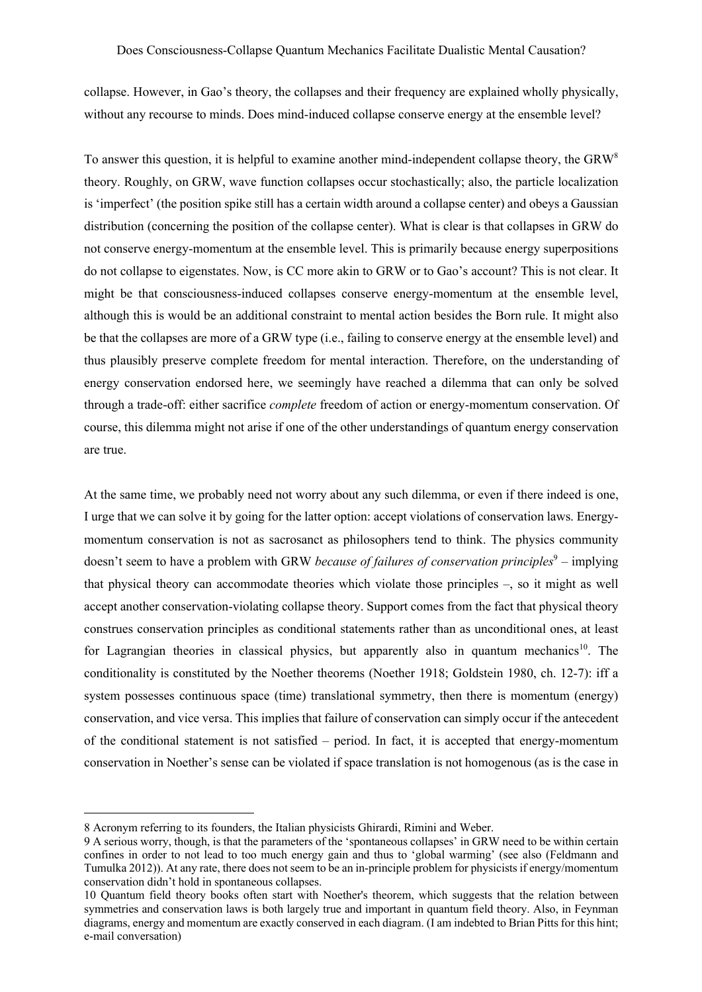collapse. However, in Gao's theory, the collapses and their frequency are explained wholly physically, without any recourse to minds. Does mind-induced collapse conserve energy at the ensemble level?

To answer this question, it is helpful to examine another mind-independent collapse theory, the GRW<sup>8</sup> theory. Roughly, on GRW, wave function collapses occur stochastically; also, the particle localization is 'imperfect' (the position spike still has a certain width around a collapse center) and obeys a Gaussian distribution (concerning the position of the collapse center). What is clear is that collapses in GRW do not conserve energy-momentum at the ensemble level. This is primarily because energy superpositions do not collapse to eigenstates. Now, is CC more akin to GRW or to Gao's account? This is not clear. It might be that consciousness-induced collapses conserve energy-momentum at the ensemble level, although this is would be an additional constraint to mental action besides the Born rule. It might also be that the collapses are more of a GRW type (i.e., failing to conserve energy at the ensemble level) and thus plausibly preserve complete freedom for mental interaction. Therefore, on the understanding of energy conservation endorsed here, we seemingly have reached a dilemma that can only be solved through a trade-off: either sacrifice *complete* freedom of action or energy-momentum conservation. Of course, this dilemma might not arise if one of the other understandings of quantum energy conservation are true.

At the same time, we probably need not worry about any such dilemma, or even if there indeed is one, I urge that we can solve it by going for the latter option: accept violations of conservation laws. Energymomentum conservation is not as sacrosanct as philosophers tend to think. The physics community doesn't seem to have a problem with GRW *because of failures of conservation principles*<sup>9</sup> – implying that physical theory can accommodate theories which violate those principles –, so it might as well accept another conservation-violating collapse theory. Support comes from the fact that physical theory construes conservation principles as conditional statements rather than as unconditional ones, at least for Lagrangian theories in classical physics, but apparently also in quantum mechanics<sup>10</sup>. The conditionality is constituted by the Noether theorems (Noether 1918; Goldstein 1980, ch. 12-7): iff a system possesses continuous space (time) translational symmetry, then there is momentum (energy) conservation, and vice versa. This implies that failure of conservation can simply occur if the antecedent of the conditional statement is not satisfied – period. In fact, it is accepted that energy-momentum conservation in Noether's sense can be violated if space translation is not homogenous (as is the case in

<sup>8</sup> Acronym referring to its founders, the Italian physicists Ghirardi, Rimini and Weber.

<sup>9</sup> A serious worry, though, is that the parameters of the 'spontaneous collapses' in GRW need to be within certain confines in order to not lead to too much energy gain and thus to 'global warming' (see also (Feldmann and Tumulka 2012)). At any rate, there does not seem to be an in-principle problem for physicists if energy/momentum conservation didn't hold in spontaneous collapses.

<sup>10</sup> Quantum field theory books often start with Noether's theorem, which suggests that the relation between symmetries and conservation laws is both largely true and important in quantum field theory. Also, in Feynman diagrams, energy and momentum are exactly conserved in each diagram. (I am indebted to Brian Pitts for this hint; e-mail conversation)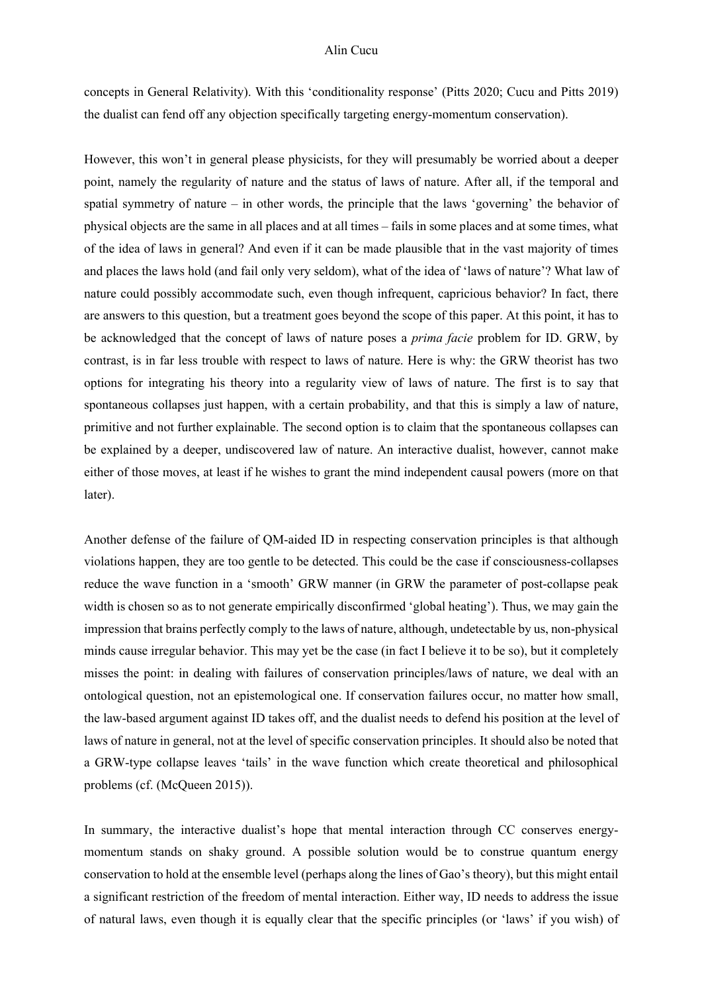concepts in General Relativity). With this 'conditionality response' (Pitts 2020; Cucu and Pitts 2019) the dualist can fend off any objection specifically targeting energy-momentum conservation).

However, this won't in general please physicists, for they will presumably be worried about a deeper point, namely the regularity of nature and the status of laws of nature. After all, if the temporal and spatial symmetry of nature – in other words, the principle that the laws 'governing' the behavior of physical objects are the same in all places and at all times – fails in some places and at some times, what of the idea of laws in general? And even if it can be made plausible that in the vast majority of times and places the laws hold (and fail only very seldom), what of the idea of 'laws of nature'? What law of nature could possibly accommodate such, even though infrequent, capricious behavior? In fact, there are answers to this question, but a treatment goes beyond the scope of this paper. At this point, it has to be acknowledged that the concept of laws of nature poses a *prima facie* problem for ID. GRW, by contrast, is in far less trouble with respect to laws of nature. Here is why: the GRW theorist has two options for integrating his theory into a regularity view of laws of nature. The first is to say that spontaneous collapses just happen, with a certain probability, and that this is simply a law of nature, primitive and not further explainable. The second option is to claim that the spontaneous collapses can be explained by a deeper, undiscovered law of nature. An interactive dualist, however, cannot make either of those moves, at least if he wishes to grant the mind independent causal powers (more on that later).

Another defense of the failure of QM-aided ID in respecting conservation principles is that although violations happen, they are too gentle to be detected. This could be the case if consciousness-collapses reduce the wave function in a 'smooth' GRW manner (in GRW the parameter of post-collapse peak width is chosen so as to not generate empirically disconfirmed 'global heating'). Thus, we may gain the impression that brains perfectly comply to the laws of nature, although, undetectable by us, non-physical minds cause irregular behavior. This may yet be the case (in fact I believe it to be so), but it completely misses the point: in dealing with failures of conservation principles/laws of nature, we deal with an ontological question, not an epistemological one. If conservation failures occur, no matter how small, the law-based argument against ID takes off, and the dualist needs to defend his position at the level of laws of nature in general, not at the level of specific conservation principles. It should also be noted that a GRW-type collapse leaves 'tails' in the wave function which create theoretical and philosophical problems (cf. (McQueen 2015)).

In summary, the interactive dualist's hope that mental interaction through CC conserves energymomentum stands on shaky ground. A possible solution would be to construe quantum energy conservation to hold at the ensemble level (perhaps along the lines of Gao's theory), but this might entail a significant restriction of the freedom of mental interaction. Either way, ID needs to address the issue of natural laws, even though it is equally clear that the specific principles (or 'laws' if you wish) of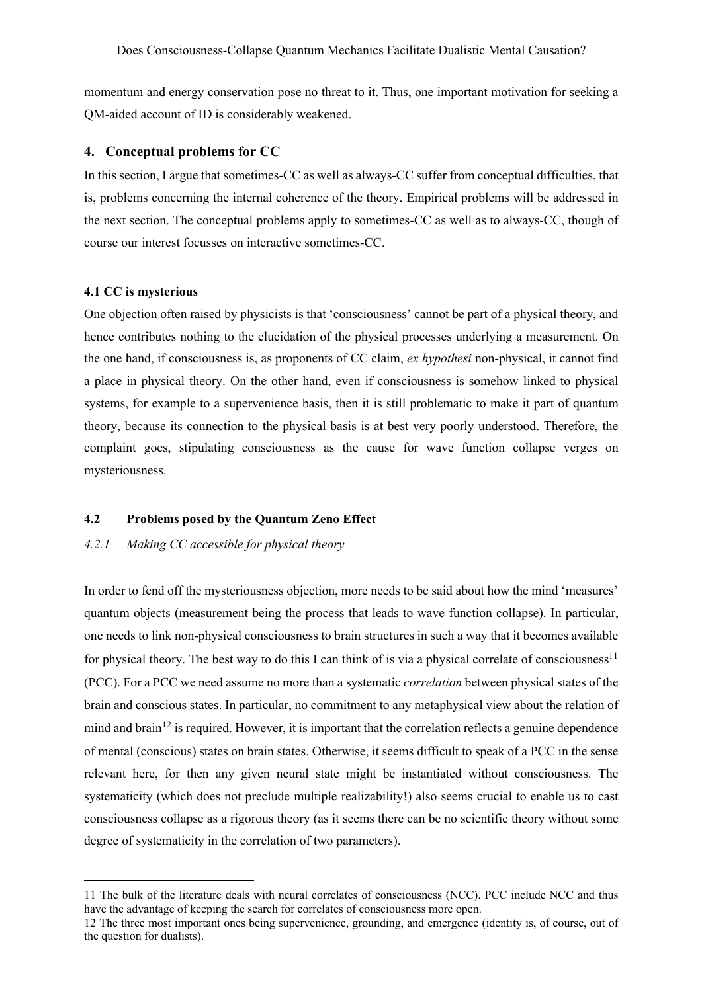momentum and energy conservation pose no threat to it. Thus, one important motivation for seeking a QM-aided account of ID is considerably weakened.

## **4. Conceptual problems for CC**

In this section, I argue that sometimes-CC as well as always-CC suffer from conceptual difficulties, that is, problems concerning the internal coherence of the theory. Empirical problems will be addressed in the next section. The conceptual problems apply to sometimes-CC as well as to always-CC, though of course our interest focusses on interactive sometimes-CC.

# **4.1 CC is mysterious**

One objection often raised by physicists is that 'consciousness' cannot be part of a physical theory, and hence contributes nothing to the elucidation of the physical processes underlying a measurement. On the one hand, if consciousness is, as proponents of CC claim, *ex hypothesi* non-physical, it cannot find a place in physical theory. On the other hand, even if consciousness is somehow linked to physical systems, for example to a supervenience basis, then it is still problematic to make it part of quantum theory, because its connection to the physical basis is at best very poorly understood. Therefore, the complaint goes, stipulating consciousness as the cause for wave function collapse verges on mysteriousness.

## **4.2 Problems posed by the Quantum Zeno Effect**

# *4.2.1 Making CC accessible for physical theory*

In order to fend off the mysteriousness objection, more needs to be said about how the mind 'measures' quantum objects (measurement being the process that leads to wave function collapse). In particular, one needs to link non-physical consciousness to brain structures in such a way that it becomes available for physical theory. The best way to do this I can think of is via a physical correlate of consciousness<sup>11</sup> (PCC). For a PCC we need assume no more than a systematic *correlation* between physical states of the brain and conscious states. In particular, no commitment to any metaphysical view about the relation of mind and brain<sup>12</sup> is required. However, it is important that the correlation reflects a genuine dependence of mental (conscious) states on brain states. Otherwise, it seems difficult to speak of a PCC in the sense relevant here, for then any given neural state might be instantiated without consciousness. The systematicity (which does not preclude multiple realizability!) also seems crucial to enable us to cast consciousness collapse as a rigorous theory (as it seems there can be no scientific theory without some degree of systematicity in the correlation of two parameters).

<sup>11</sup> The bulk of the literature deals with neural correlates of consciousness (NCC). PCC include NCC and thus have the advantage of keeping the search for correlates of consciousness more open.

<sup>12</sup> The three most important ones being supervenience, grounding, and emergence (identity is, of course, out of the question for dualists).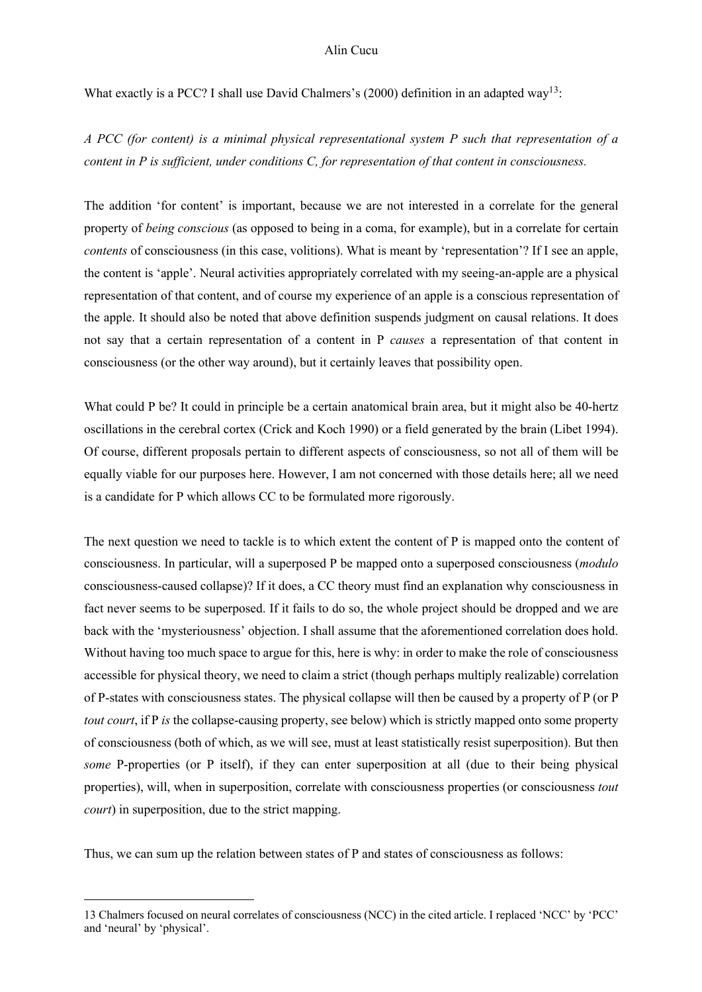What exactly is a PCC? I shall use David Chalmers's (2000) definition in an adapted way<sup>13</sup>:

*A PCC (for content) is a minimal physical representational system P such that representation of a content in P is sufficient, under conditions C, for representation of that content in consciousness.* 

The addition 'for content' is important, because we are not interested in a correlate for the general property of *being conscious* (as opposed to being in a coma, for example), but in a correlate for certain *contents* of consciousness (in this case, volitions). What is meant by 'representation'? If I see an apple, the content is 'apple'. Neural activities appropriately correlated with my seeing-an-apple are a physical representation of that content, and of course my experience of an apple is a conscious representation of the apple. It should also be noted that above definition suspends judgment on causal relations. It does not say that a certain representation of a content in P *causes* a representation of that content in consciousness (or the other way around), but it certainly leaves that possibility open.

What could P be? It could in principle be a certain anatomical brain area, but it might also be 40-hertz oscillations in the cerebral cortex (Crick and Koch 1990) or a field generated by the brain (Libet 1994). Of course, different proposals pertain to different aspects of consciousness, so not all of them will be equally viable for our purposes here. However, I am not concerned with those details here; all we need is a candidate for P which allows CC to be formulated more rigorously.

The next question we need to tackle is to which extent the content of P is mapped onto the content of consciousness. In particular, will a superposed P be mapped onto a superposed consciousness (*modulo* consciousness-caused collapse)? If it does, a CC theory must find an explanation why consciousness in fact never seems to be superposed. If it fails to do so, the whole project should be dropped and we are back with the 'mysteriousness' objection. I shall assume that the aforementioned correlation does hold. Without having too much space to argue for this, here is why: in order to make the role of consciousness accessible for physical theory, we need to claim a strict (though perhaps multiply realizable) correlation of P-states with consciousness states. The physical collapse will then be caused by a property of P (or P *tout court*, if P *is* the collapse-causing property, see below) which is strictly mapped onto some property of consciousness (both of which, as we will see, must at least statistically resist superposition). But then *some* P-properties (or P itself), if they can enter superposition at all (due to their being physical properties), will, when in superposition, correlate with consciousness properties (or consciousness *tout court*) in superposition, due to the strict mapping.

Thus, we can sum up the relation between states of P and states of consciousness as follows:

<sup>13</sup> Chalmers focused on neural correlates of consciousness (NCC) in the cited article. I replaced 'NCC' by 'PCC' and 'neural' by 'physical'.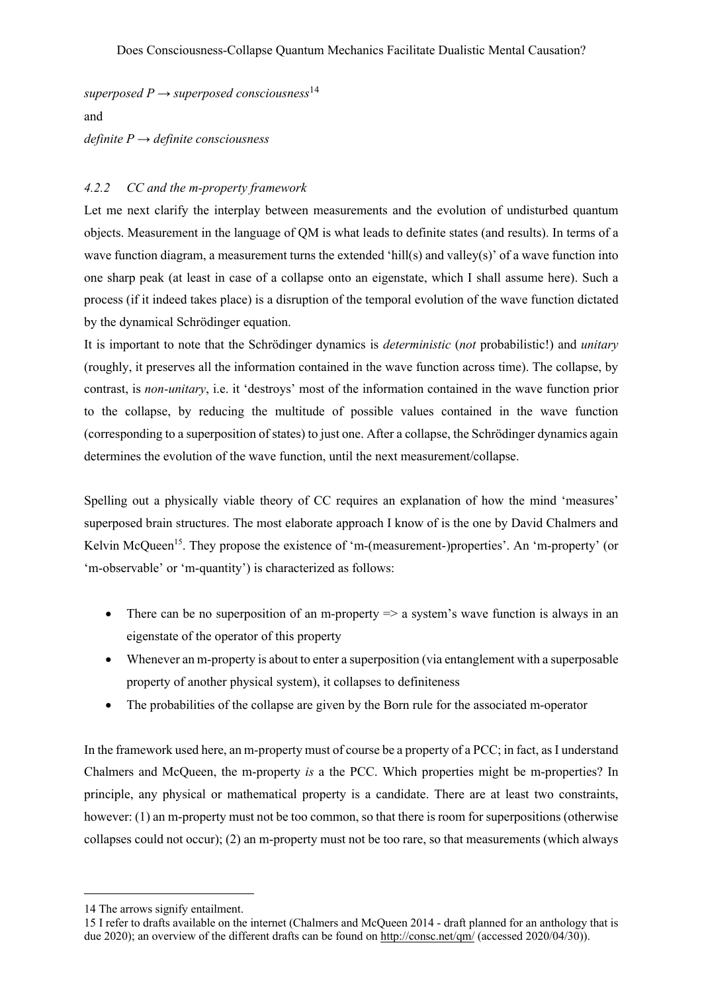*superposed P*  $\rightarrow$  *superposed consciousness*<sup>14</sup> and

*definite P → definite consciousness*

# *4.2.2 CC and the m-property framework*

Let me next clarify the interplay between measurements and the evolution of undisturbed quantum objects. Measurement in the language of QM is what leads to definite states (and results). In terms of a wave function diagram, a measurement turns the extended 'hill(s) and valley(s)' of a wave function into one sharp peak (at least in case of a collapse onto an eigenstate, which I shall assume here). Such a process (if it indeed takes place) is a disruption of the temporal evolution of the wave function dictated by the dynamical Schrödinger equation.

It is important to note that the Schrödinger dynamics is *deterministic* (*not* probabilistic!) and *unitary* (roughly, it preserves all the information contained in the wave function across time). The collapse, by contrast, is *non-unitary*, i.e. it 'destroys' most of the information contained in the wave function prior to the collapse, by reducing the multitude of possible values contained in the wave function (corresponding to a superposition of states) to just one. After a collapse, the Schrödinger dynamics again determines the evolution of the wave function, until the next measurement/collapse.

Spelling out a physically viable theory of CC requires an explanation of how the mind 'measures' superposed brain structures. The most elaborate approach I know of is the one by David Chalmers and Kelvin McQueen<sup>15</sup>. They propose the existence of 'm-(measurement-)properties'. An 'm-property' (or 'm-observable' or 'm-quantity') is characterized as follows:

- There can be no superposition of an m-property  $\Rightarrow$  a system's wave function is always in an eigenstate of the operator of this property
- Whenever an m-property is about to enter a superposition (via entanglement with a superposable property of another physical system), it collapses to definiteness
- The probabilities of the collapse are given by the Born rule for the associated m-operator

In the framework used here, an m-property must of course be a property of a PCC; in fact, as I understand Chalmers and McQueen, the m-property *is* a the PCC. Which properties might be m-properties? In principle, any physical or mathematical property is a candidate. There are at least two constraints, however: (1) an m-property must not be too common, so that there is room for superpositions (otherwise collapses could not occur); (2) an m-property must not be too rare, so that measurements (which always

<sup>14</sup> The arrows signify entailment.

<sup>15</sup> I refer to drafts available on the internet (Chalmers and McQueen 2014 - draft planned for an anthology that is due 2020); an overview of the different drafts can be found on http://consc.net/qm/ (accessed 2020/04/30)).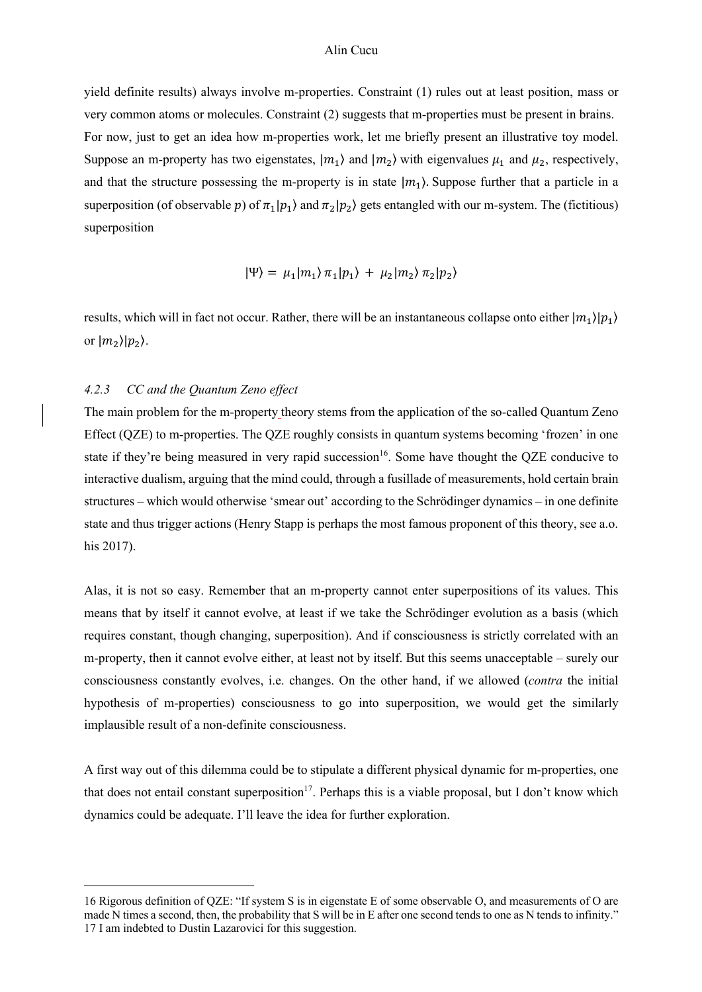yield definite results) always involve m-properties. Constraint (1) rules out at least position, mass or very common atoms or molecules. Constraint (2) suggests that m-properties must be present in brains. For now, just to get an idea how m-properties work, let me briefly present an illustrative toy model. Suppose an m-property has two eigenstates,  $|m_1\rangle$  and  $|m_2\rangle$  with eigenvalues  $\mu_1$  and  $\mu_2$ , respectively, and that the structure possessing the m-property is in state  $|m_1\rangle$ . Suppose further that a particle in a superposition (of observable p) of  $\pi_1 | p_1 \rangle$  and  $\pi_2 | p_2 \rangle$  gets entangled with our m-system. The (fictitious) superposition

$$
|\Psi\rangle = \mu_1|m_1\rangle \pi_1|p_1\rangle + \mu_2|m_2\rangle \pi_2|p_2\rangle
$$

results, which will in fact not occur. Rather, there will be an instantaneous collapse onto either  $|m_1\rangle|p_1\rangle$ or  $|m_2\rangle|p_2\rangle$ .

### *4.2.3 CC and the Quantum Zeno effect*

The main problem for the m-property theory stems from the application of the so-called Quantum Zeno Effect (QZE) to m-properties. The QZE roughly consists in quantum systems becoming 'frozen' in one state if they're being measured in very rapid succession<sup>16</sup>. Some have thought the QZE conducive to interactive dualism, arguing that the mind could, through a fusillade of measurements, hold certain brain structures – which would otherwise 'smear out' according to the Schrödinger dynamics – in one definite state and thus trigger actions (Henry Stapp is perhaps the most famous proponent of this theory, see a.o. his 2017).

Alas, it is not so easy. Remember that an m-property cannot enter superpositions of its values. This means that by itself it cannot evolve, at least if we take the Schrödinger evolution as a basis (which requires constant, though changing, superposition). And if consciousness is strictly correlated with an m-property, then it cannot evolve either, at least not by itself. But this seems unacceptable – surely our consciousness constantly evolves, i.e. changes. On the other hand, if we allowed (*contra* the initial hypothesis of m-properties) consciousness to go into superposition, we would get the similarly implausible result of a non-definite consciousness.

A first way out of this dilemma could be to stipulate a different physical dynamic for m-properties, one that does not entail constant superposition<sup>17</sup>. Perhaps this is a viable proposal, but I don't know which dynamics could be adequate. I'll leave the idea for further exploration.

<sup>16</sup> Rigorous definition of QZE: "If system S is in eigenstate E of some observable O, and measurements of O are made N times a second, then, the probability that S will be in E after one second tends to one as N tends to infinity." 17 I am indebted to Dustin Lazarovici for this suggestion.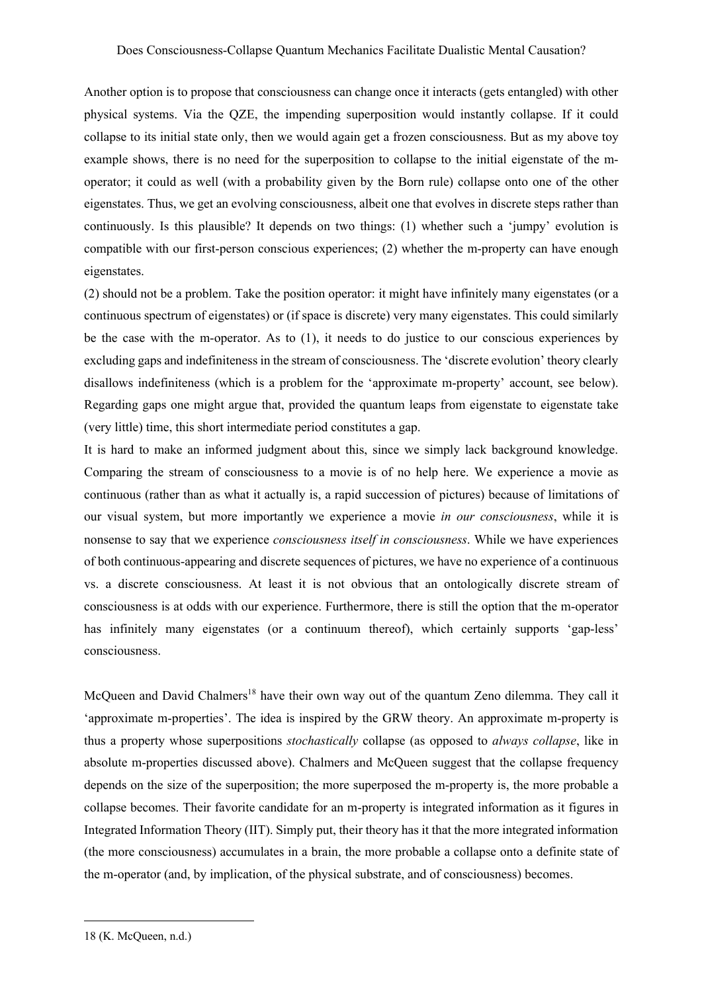Another option is to propose that consciousness can change once it interacts (gets entangled) with other physical systems. Via the QZE, the impending superposition would instantly collapse. If it could collapse to its initial state only, then we would again get a frozen consciousness. But as my above toy example shows, there is no need for the superposition to collapse to the initial eigenstate of the moperator; it could as well (with a probability given by the Born rule) collapse onto one of the other eigenstates. Thus, we get an evolving consciousness, albeit one that evolves in discrete steps rather than continuously. Is this plausible? It depends on two things: (1) whether such a 'jumpy' evolution is compatible with our first-person conscious experiences; (2) whether the m-property can have enough eigenstates.

(2) should not be a problem. Take the position operator: it might have infinitely many eigenstates (or a continuous spectrum of eigenstates) or (if space is discrete) very many eigenstates. This could similarly be the case with the m-operator. As to (1), it needs to do justice to our conscious experiences by excluding gaps and indefiniteness in the stream of consciousness. The 'discrete evolution' theory clearly disallows indefiniteness (which is a problem for the 'approximate m-property' account, see below). Regarding gaps one might argue that, provided the quantum leaps from eigenstate to eigenstate take (very little) time, this short intermediate period constitutes a gap.

It is hard to make an informed judgment about this, since we simply lack background knowledge. Comparing the stream of consciousness to a movie is of no help here. We experience a movie as continuous (rather than as what it actually is, a rapid succession of pictures) because of limitations of our visual system, but more importantly we experience a movie *in our consciousness*, while it is nonsense to say that we experience *consciousness itself in consciousness*. While we have experiences of both continuous-appearing and discrete sequences of pictures, we have no experience of a continuous vs. a discrete consciousness. At least it is not obvious that an ontologically discrete stream of consciousness is at odds with our experience. Furthermore, there is still the option that the m-operator has infinitely many eigenstates (or a continuum thereof), which certainly supports 'gap-less' consciousness.

McQueen and David Chalmers<sup>18</sup> have their own way out of the quantum Zeno dilemma. They call it 'approximate m-properties'. The idea is inspired by the GRW theory. An approximate m-property is thus a property whose superpositions *stochastically* collapse (as opposed to *always collapse*, like in absolute m-properties discussed above). Chalmers and McQueen suggest that the collapse frequency depends on the size of the superposition; the more superposed the m-property is, the more probable a collapse becomes. Their favorite candidate for an m-property is integrated information as it figures in Integrated Information Theory (IIT). Simply put, their theory has it that the more integrated information (the more consciousness) accumulates in a brain, the more probable a collapse onto a definite state of the m-operator (and, by implication, of the physical substrate, and of consciousness) becomes.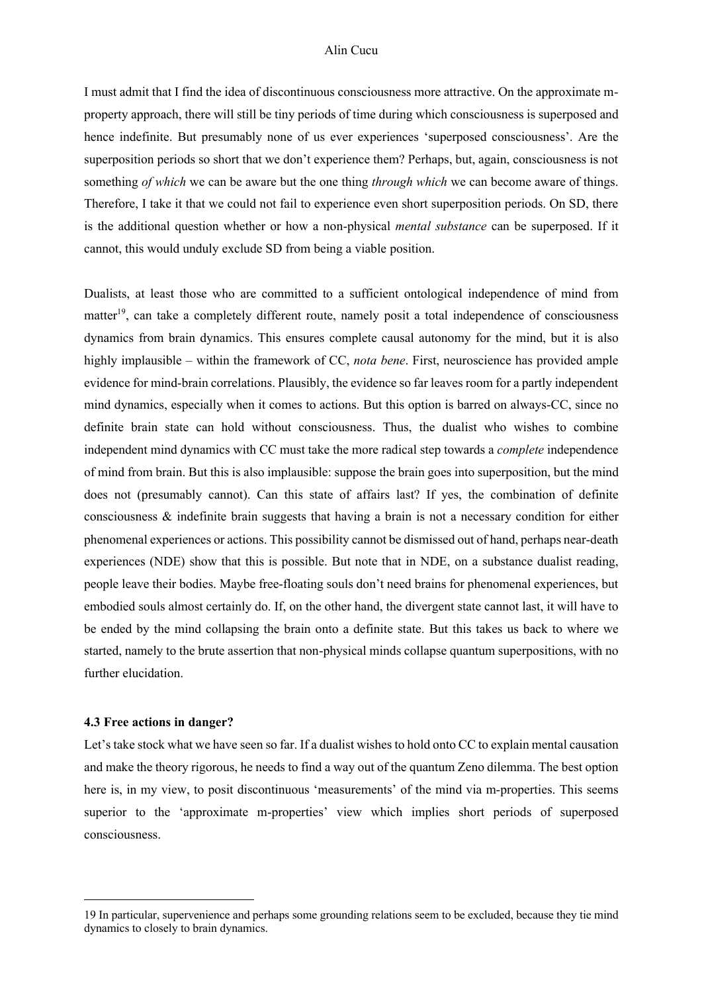I must admit that I find the idea of discontinuous consciousness more attractive. On the approximate mproperty approach, there will still be tiny periods of time during which consciousness is superposed and hence indefinite. But presumably none of us ever experiences 'superposed consciousness'. Are the superposition periods so short that we don't experience them? Perhaps, but, again, consciousness is not something *of which* we can be aware but the one thing *through which* we can become aware of things. Therefore, I take it that we could not fail to experience even short superposition periods. On SD, there is the additional question whether or how a non-physical *mental substance* can be superposed. If it cannot, this would unduly exclude SD from being a viable position.

Dualists, at least those who are committed to a sufficient ontological independence of mind from matter<sup>19</sup>, can take a completely different route, namely posit a total independence of consciousness dynamics from brain dynamics. This ensures complete causal autonomy for the mind, but it is also highly implausible – within the framework of CC, *nota bene*. First, neuroscience has provided ample evidence for mind-brain correlations. Plausibly, the evidence so far leaves room for a partly independent mind dynamics, especially when it comes to actions. But this option is barred on always-CC, since no definite brain state can hold without consciousness. Thus, the dualist who wishes to combine independent mind dynamics with CC must take the more radical step towards a *complete* independence of mind from brain. But this is also implausible: suppose the brain goes into superposition, but the mind does not (presumably cannot). Can this state of affairs last? If yes, the combination of definite consciousness & indefinite brain suggests that having a brain is not a necessary condition for either phenomenal experiences or actions. This possibility cannot be dismissed out of hand, perhaps near-death experiences (NDE) show that this is possible. But note that in NDE, on a substance dualist reading, people leave their bodies. Maybe free-floating souls don't need brains for phenomenal experiences, but embodied souls almost certainly do. If, on the other hand, the divergent state cannot last, it will have to be ended by the mind collapsing the brain onto a definite state. But this takes us back to where we started, namely to the brute assertion that non-physical minds collapse quantum superpositions, with no further elucidation.

## **4.3 Free actions in danger?**

Let's take stock what we have seen so far. If a dualist wishes to hold onto CC to explain mental causation and make the theory rigorous, he needs to find a way out of the quantum Zeno dilemma. The best option here is, in my view, to posit discontinuous 'measurements' of the mind via m-properties. This seems superior to the 'approximate m-properties' view which implies short periods of superposed consciousness.

<sup>19</sup> In particular, supervenience and perhaps some grounding relations seem to be excluded, because they tie mind dynamics to closely to brain dynamics.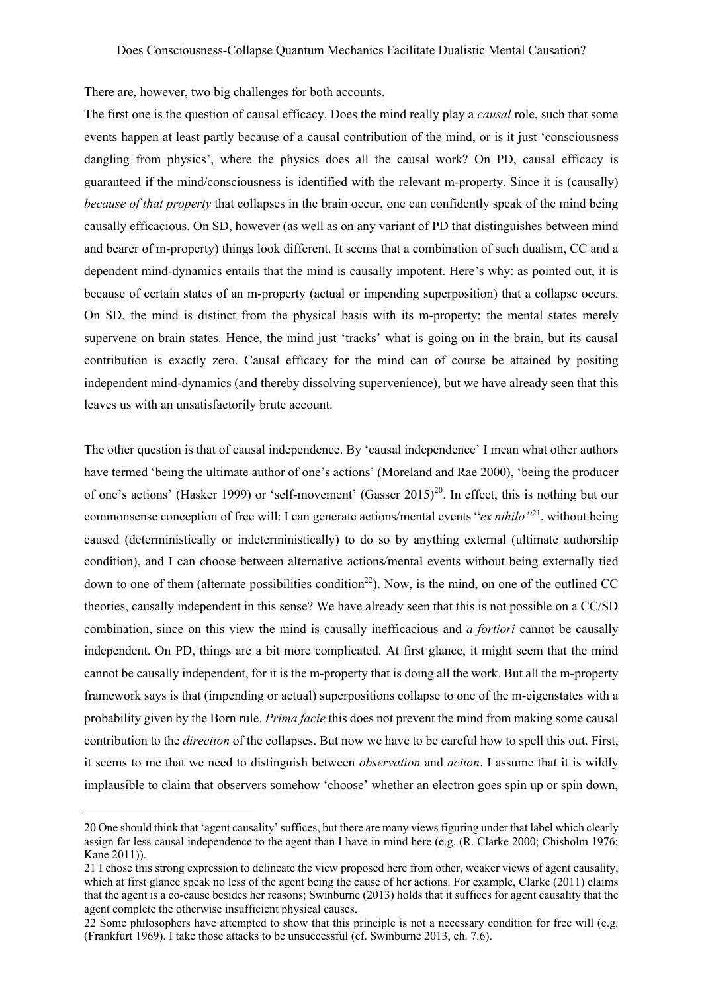There are, however, two big challenges for both accounts.

The first one is the question of causal efficacy. Does the mind really play a *causal* role, such that some events happen at least partly because of a causal contribution of the mind, or is it just 'consciousness dangling from physics', where the physics does all the causal work? On PD, causal efficacy is guaranteed if the mind/consciousness is identified with the relevant m-property. Since it is (causally) *because of that property* that collapses in the brain occur, one can confidently speak of the mind being causally efficacious. On SD, however (as well as on any variant of PD that distinguishes between mind and bearer of m-property) things look different. It seems that a combination of such dualism, CC and a dependent mind-dynamics entails that the mind is causally impotent. Here's why: as pointed out, it is because of certain states of an m-property (actual or impending superposition) that a collapse occurs. On SD, the mind is distinct from the physical basis with its m-property; the mental states merely supervene on brain states. Hence, the mind just 'tracks' what is going on in the brain, but its causal contribution is exactly zero. Causal efficacy for the mind can of course be attained by positing independent mind-dynamics (and thereby dissolving supervenience), but we have already seen that this leaves us with an unsatisfactorily brute account.

The other question is that of causal independence. By 'causal independence' I mean what other authors have termed 'being the ultimate author of one's actions' (Moreland and Rae 2000), 'being the producer of one's actions' (Hasker 1999) or 'self-movement' (Gasser 2015)<sup>20</sup>. In effect, this is nothing but our commonsense conception of free will: I can generate actions/mental events "*ex nihilo"*21, without being caused (deterministically or indeterministically) to do so by anything external (ultimate authorship condition), and I can choose between alternative actions/mental events without being externally tied down to one of them (alternate possibilities condition<sup>22</sup>). Now, is the mind, on one of the outlined CC theories, causally independent in this sense? We have already seen that this is not possible on a CC/SD combination, since on this view the mind is causally inefficacious and *a fortiori* cannot be causally independent. On PD, things are a bit more complicated. At first glance, it might seem that the mind cannot be causally independent, for it is the m-property that is doing all the work. But all the m-property framework says is that (impending or actual) superpositions collapse to one of the m-eigenstates with a probability given by the Born rule. *Prima facie* this does not prevent the mind from making some causal contribution to the *direction* of the collapses. But now we have to be careful how to spell this out. First, it seems to me that we need to distinguish between *observation* and *action*. I assume that it is wildly implausible to claim that observers somehow 'choose' whether an electron goes spin up or spin down,

<sup>20</sup> One should think that 'agent causality' suffices, but there are many views figuring under that label which clearly assign far less causal independence to the agent than I have in mind here (e.g. (R. Clarke 2000; Chisholm 1976; Kane 2011)).

<sup>21</sup> I chose this strong expression to delineate the view proposed here from other, weaker views of agent causality, which at first glance speak no less of the agent being the cause of her actions. For example, Clarke (2011) claims that the agent is a co-cause besides her reasons; Swinburne (2013) holds that it suffices for agent causality that the agent complete the otherwise insufficient physical causes.

<sup>22</sup> Some philosophers have attempted to show that this principle is not a necessary condition for free will (e.g. (Frankfurt 1969). I take those attacks to be unsuccessful (cf. Swinburne 2013, ch. 7.6).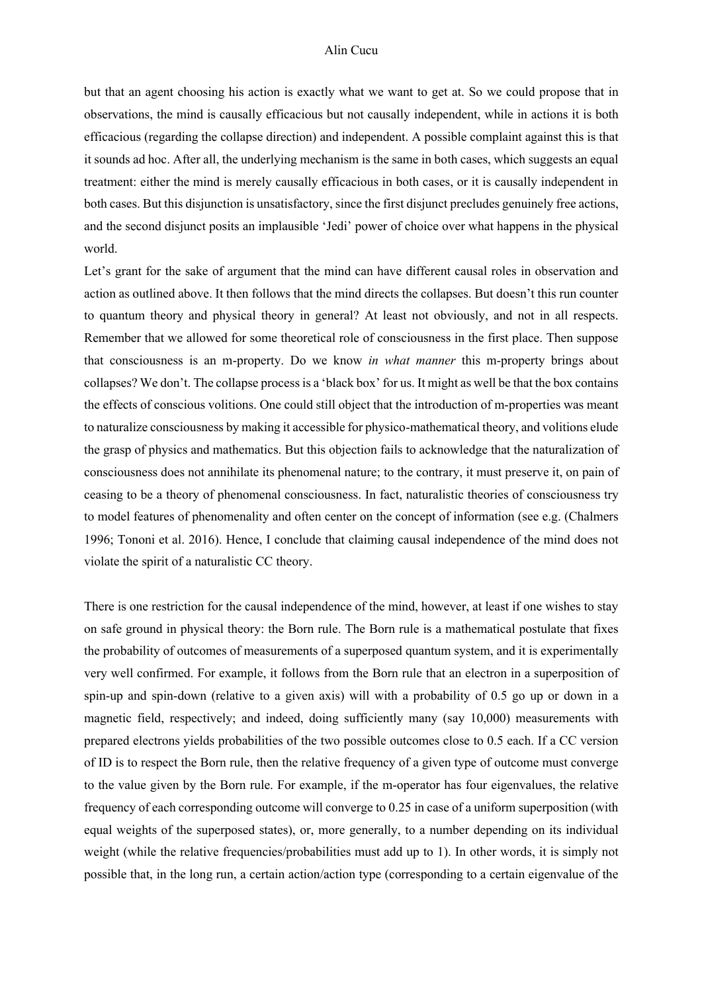but that an agent choosing his action is exactly what we want to get at. So we could propose that in observations, the mind is causally efficacious but not causally independent, while in actions it is both efficacious (regarding the collapse direction) and independent. A possible complaint against this is that it sounds ad hoc. After all, the underlying mechanism is the same in both cases, which suggests an equal treatment: either the mind is merely causally efficacious in both cases, or it is causally independent in both cases. But this disjunction is unsatisfactory, since the first disjunct precludes genuinely free actions, and the second disjunct posits an implausible 'Jedi' power of choice over what happens in the physical world.

Let's grant for the sake of argument that the mind can have different causal roles in observation and action as outlined above. It then follows that the mind directs the collapses. But doesn't this run counter to quantum theory and physical theory in general? At least not obviously, and not in all respects. Remember that we allowed for some theoretical role of consciousness in the first place. Then suppose that consciousness is an m-property. Do we know *in what manner* this m-property brings about collapses? We don't. The collapse process is a 'black box' for us. It might as well be that the box contains the effects of conscious volitions. One could still object that the introduction of m-properties was meant to naturalize consciousness by making it accessible for physico-mathematical theory, and volitions elude the grasp of physics and mathematics. But this objection fails to acknowledge that the naturalization of consciousness does not annihilate its phenomenal nature; to the contrary, it must preserve it, on pain of ceasing to be a theory of phenomenal consciousness. In fact, naturalistic theories of consciousness try to model features of phenomenality and often center on the concept of information (see e.g. (Chalmers 1996; Tononi et al. 2016). Hence, I conclude that claiming causal independence of the mind does not violate the spirit of a naturalistic CC theory.

There is one restriction for the causal independence of the mind, however, at least if one wishes to stay on safe ground in physical theory: the Born rule. The Born rule is a mathematical postulate that fixes the probability of outcomes of measurements of a superposed quantum system, and it is experimentally very well confirmed. For example, it follows from the Born rule that an electron in a superposition of spin-up and spin-down (relative to a given axis) will with a probability of 0.5 go up or down in a magnetic field, respectively; and indeed, doing sufficiently many (say 10,000) measurements with prepared electrons yields probabilities of the two possible outcomes close to 0.5 each. If a CC version of ID is to respect the Born rule, then the relative frequency of a given type of outcome must converge to the value given by the Born rule. For example, if the m-operator has four eigenvalues, the relative frequency of each corresponding outcome will converge to 0.25 in case of a uniform superposition (with equal weights of the superposed states), or, more generally, to a number depending on its individual weight (while the relative frequencies/probabilities must add up to 1). In other words, it is simply not possible that, in the long run, a certain action/action type (corresponding to a certain eigenvalue of the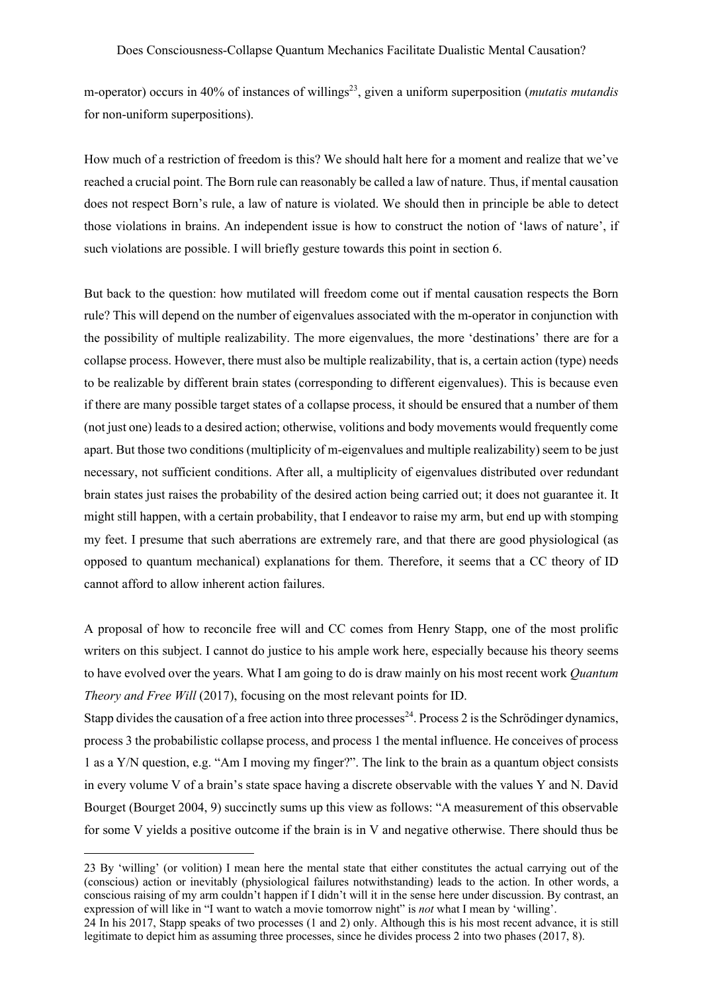m-operator) occurs in 40% of instances of willings<sup>23</sup>, given a uniform superposition (*mutatis mutandis* for non-uniform superpositions).

How much of a restriction of freedom is this? We should halt here for a moment and realize that we've reached a crucial point. The Born rule can reasonably be called a law of nature. Thus, if mental causation does not respect Born's rule, a law of nature is violated. We should then in principle be able to detect those violations in brains. An independent issue is how to construct the notion of 'laws of nature', if such violations are possible. I will briefly gesture towards this point in section 6.

But back to the question: how mutilated will freedom come out if mental causation respects the Born rule? This will depend on the number of eigenvalues associated with the m-operator in conjunction with the possibility of multiple realizability. The more eigenvalues, the more 'destinations' there are for a collapse process. However, there must also be multiple realizability, that is, a certain action (type) needs to be realizable by different brain states (corresponding to different eigenvalues). This is because even if there are many possible target states of a collapse process, it should be ensured that a number of them (not just one) leads to a desired action; otherwise, volitions and body movements would frequently come apart. But those two conditions (multiplicity of m-eigenvalues and multiple realizability) seem to be just necessary, not sufficient conditions. After all, a multiplicity of eigenvalues distributed over redundant brain states just raises the probability of the desired action being carried out; it does not guarantee it. It might still happen, with a certain probability, that I endeavor to raise my arm, but end up with stomping my feet. I presume that such aberrations are extremely rare, and that there are good physiological (as opposed to quantum mechanical) explanations for them. Therefore, it seems that a CC theory of ID cannot afford to allow inherent action failures.

A proposal of how to reconcile free will and CC comes from Henry Stapp, one of the most prolific writers on this subject. I cannot do justice to his ample work here, especially because his theory seems to have evolved over the years. What I am going to do is draw mainly on his most recent work *Quantum Theory and Free Will* (2017), focusing on the most relevant points for ID.

Stapp divides the causation of a free action into three processes<sup>24</sup>. Process 2 is the Schrödinger dynamics, process 3 the probabilistic collapse process, and process 1 the mental influence. He conceives of process 1 as a Y/N question, e.g. "Am I moving my finger?". The link to the brain as a quantum object consists in every volume V of a brain's state space having a discrete observable with the values Y and N. David Bourget (Bourget 2004, 9) succinctly sums up this view as follows: "A measurement of this observable for some V yields a positive outcome if the brain is in V and negative otherwise. There should thus be

23 By 'willing' (or volition) I mean here the mental state that either constitutes the actual carrying out of the (conscious) action or inevitably (physiological failures notwithstanding) leads to the action. In other words, a conscious raising of my arm couldn't happen if I didn't will it in the sense here under discussion. By contrast, an expression of will like in "I want to watch a movie tomorrow night" is *not* what I mean by 'willing'.

<sup>24</sup> In his 2017, Stapp speaks of two processes (1 and 2) only. Although this is his most recent advance, it is still legitimate to depict him as assuming three processes, since he divides process 2 into two phases (2017, 8).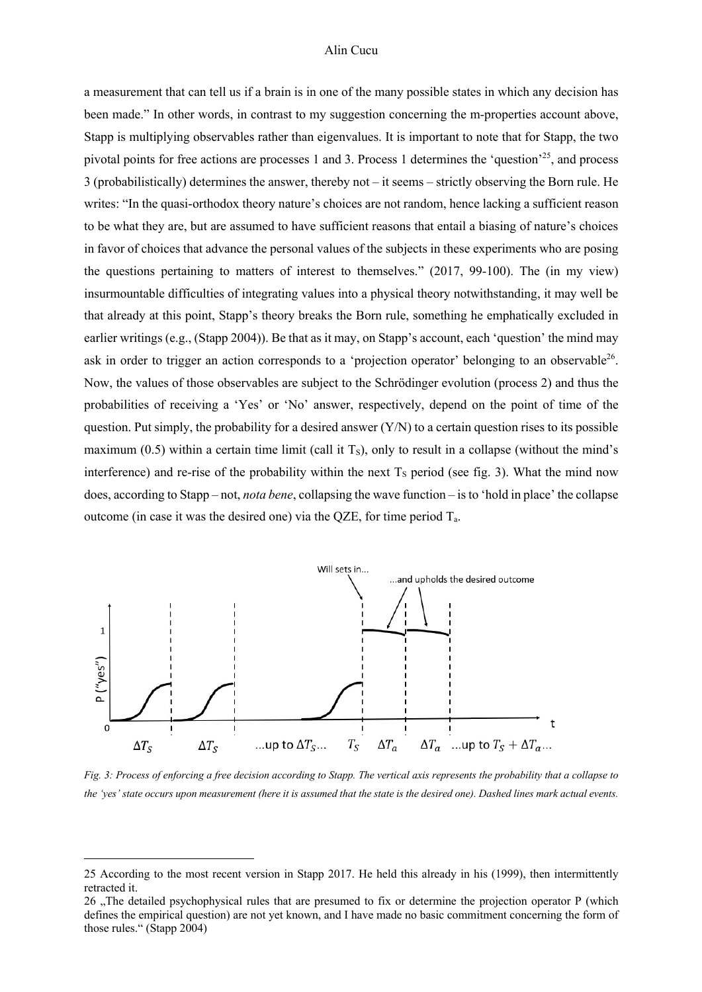a measurement that can tell us if a brain is in one of the many possible states in which any decision has been made." In other words, in contrast to my suggestion concerning the m-properties account above, Stapp is multiplying observables rather than eigenvalues. It is important to note that for Stapp, the two pivotal points for free actions are processes 1 and 3. Process 1 determines the 'question'25, and process 3 (probabilistically) determines the answer, thereby not – it seems – strictly observing the Born rule. He writes: "In the quasi-orthodox theory nature's choices are not random, hence lacking a sufficient reason to be what they are, but are assumed to have sufficient reasons that entail a biasing of nature's choices in favor of choices that advance the personal values of the subjects in these experiments who are posing the questions pertaining to matters of interest to themselves." (2017, 99-100). The (in my view) insurmountable difficulties of integrating values into a physical theory notwithstanding, it may well be that already at this point, Stapp's theory breaks the Born rule, something he emphatically excluded in earlier writings (e.g., (Stapp 2004)). Be that as it may, on Stapp's account, each 'question' the mind may ask in order to trigger an action corresponds to a 'projection operator' belonging to an observable  $2^6$ . Now, the values of those observables are subject to the Schrödinger evolution (process 2) and thus the probabilities of receiving a 'Yes' or 'No' answer, respectively, depend on the point of time of the question. Put simply, the probability for a desired answer  $(Y/N)$  to a certain question rises to its possible maximum (0.5) within a certain time limit (call it  $T_s$ ), only to result in a collapse (without the mind's interference) and re-rise of the probability within the next  $T<sub>S</sub>$  period (see fig. 3). What the mind now does, according to Stapp – not, *nota bene*, collapsing the wave function – is to 'hold in place' the collapse outcome (in case it was the desired one) via the QZE, for time period Ta.



*Fig. 3: Process of enforcing a free decision according to Stapp. The vertical axis represents the probability that a collapse to the 'yes' state occurs upon measurement (here it is assumed that the state is the desired one). Dashed lines mark actual events.* 

<sup>25</sup> According to the most recent version in Stapp 2017. He held this already in his (1999), then intermittently retracted it.

<sup>26 .</sup> The detailed psychophysical rules that are presumed to fix or determine the projection operator P (which defines the empirical question) are not yet known, and I have made no basic commitment concerning the form of those rules." (Stapp 2004)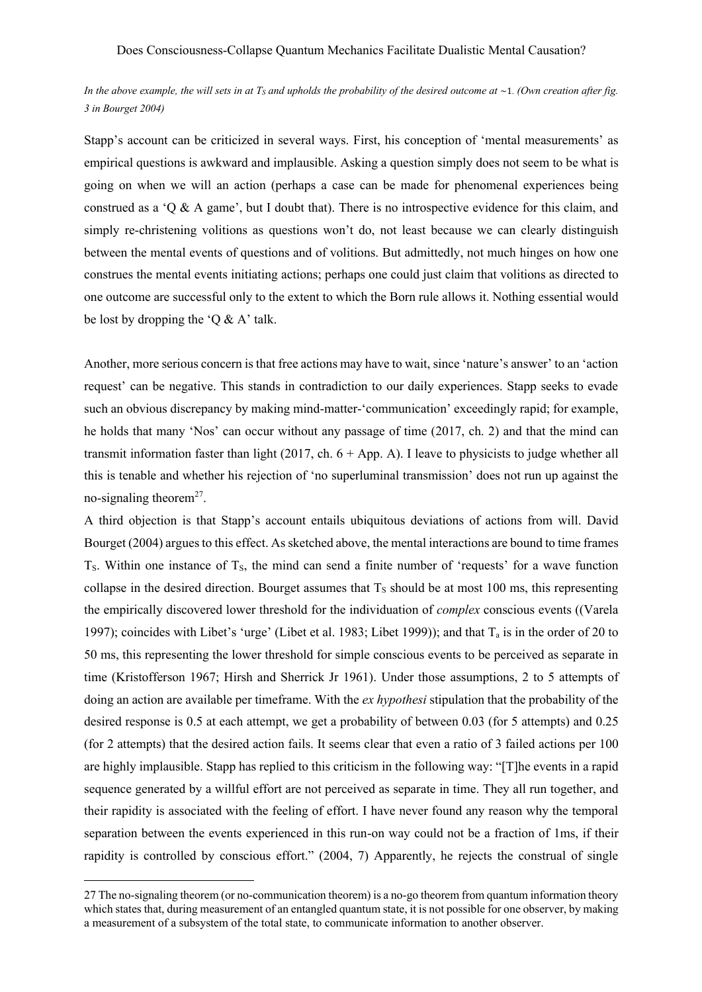In the above example, the will sets in at  $T_S$  and upholds the probability of the desired outcome at  $\sim$ 1. *(Own creation after fig. 3 in Bourget 2004)*

Stapp's account can be criticized in several ways. First, his conception of 'mental measurements' as empirical questions is awkward and implausible. Asking a question simply does not seem to be what is going on when we will an action (perhaps a case can be made for phenomenal experiences being construed as a 'Q & A game', but I doubt that). There is no introspective evidence for this claim, and simply re-christening volitions as questions won't do, not least because we can clearly distinguish between the mental events of questions and of volitions. But admittedly, not much hinges on how one construes the mental events initiating actions; perhaps one could just claim that volitions as directed to one outcome are successful only to the extent to which the Born rule allows it. Nothing essential would be lost by dropping the 'Q  $\&$  A' talk.

Another, more serious concern is that free actions may have to wait, since 'nature's answer' to an 'action request' can be negative. This stands in contradiction to our daily experiences. Stapp seeks to evade such an obvious discrepancy by making mind-matter-'communication' exceedingly rapid; for example, he holds that many 'Nos' can occur without any passage of time (2017, ch. 2) and that the mind can transmit information faster than light (2017, ch.  $6 + App. A$ ). I leave to physicists to judge whether all this is tenable and whether his rejection of 'no superluminal transmission' does not run up against the no-signaling theorem<sup>27</sup>.

A third objection is that Stapp's account entails ubiquitous deviations of actions from will. David Bourget (2004) argues to this effect. As sketched above, the mental interactions are bound to time frames  $T<sub>S</sub>$ . Within one instance of  $T<sub>S</sub>$ , the mind can send a finite number of 'requests' for a wave function collapse in the desired direction. Bourget assumes that  $T_s$  should be at most 100 ms, this representing the empirically discovered lower threshold for the individuation of *complex* conscious events ((Varela 1997); coincides with Libet's 'urge' (Libet et al. 1983; Libet 1999)); and that  $T_a$  is in the order of 20 to 50 ms, this representing the lower threshold for simple conscious events to be perceived as separate in time (Kristofferson 1967; Hirsh and Sherrick Jr 1961). Under those assumptions, 2 to 5 attempts of doing an action are available per timeframe. With the *ex hypothesi* stipulation that the probability of the desired response is 0.5 at each attempt, we get a probability of between 0.03 (for 5 attempts) and 0.25 (for 2 attempts) that the desired action fails. It seems clear that even a ratio of 3 failed actions per 100 are highly implausible. Stapp has replied to this criticism in the following way: "[T]he events in a rapid sequence generated by a willful effort are not perceived as separate in time. They all run together, and their rapidity is associated with the feeling of effort. I have never found any reason why the temporal separation between the events experienced in this run-on way could not be a fraction of 1ms, if their rapidity is controlled by conscious effort." (2004, 7) Apparently, he rejects the construal of single

<sup>27</sup> The no-signaling theorem (or no-communication theorem) is a no-go theorem from quantum information theory which states that, during measurement of an entangled quantum state, it is not possible for one observer, by making a measurement of a subsystem of the total state, to communicate information to another observer.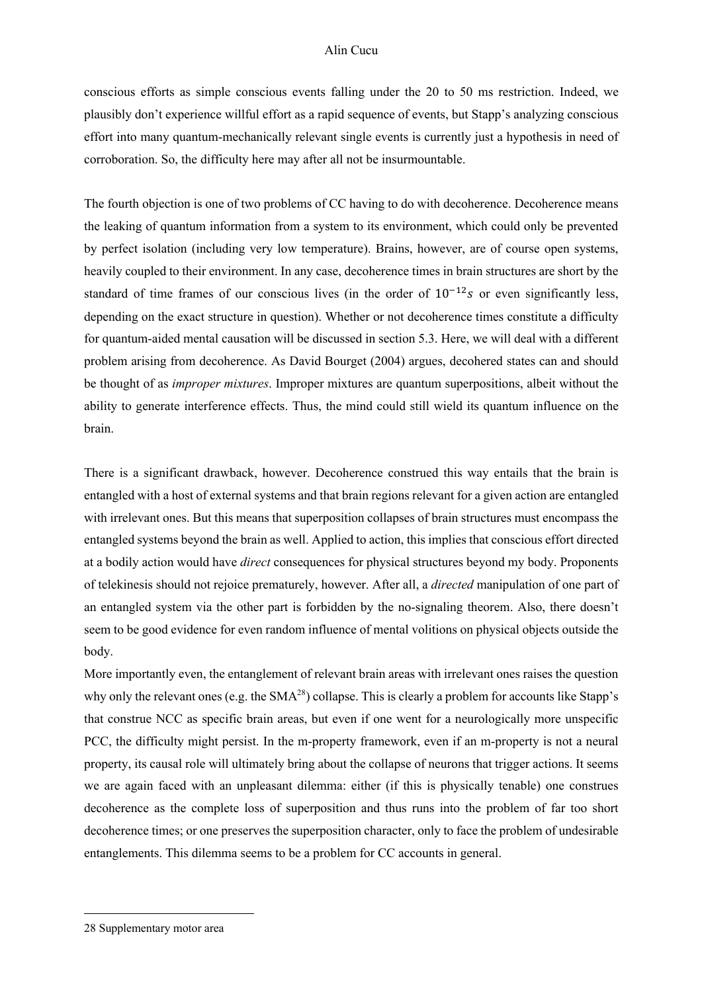conscious efforts as simple conscious events falling under the 20 to 50 ms restriction. Indeed, we plausibly don't experience willful effort as a rapid sequence of events, but Stapp's analyzing conscious effort into many quantum-mechanically relevant single events is currently just a hypothesis in need of corroboration. So, the difficulty here may after all not be insurmountable.

The fourth objection is one of two problems of CC having to do with decoherence. Decoherence means the leaking of quantum information from a system to its environment, which could only be prevented by perfect isolation (including very low temperature). Brains, however, are of course open systems, heavily coupled to their environment. In any case, decoherence times in brain structures are short by the standard of time frames of our conscious lives (in the order of  $10^{-12}s$  or even significantly less, depending on the exact structure in question). Whether or not decoherence times constitute a difficulty for quantum-aided mental causation will be discussed in section 5.3. Here, we will deal with a different problem arising from decoherence. As David Bourget (2004) argues, decohered states can and should be thought of as *improper mixtures*. Improper mixtures are quantum superpositions, albeit without the ability to generate interference effects. Thus, the mind could still wield its quantum influence on the brain.

There is a significant drawback, however. Decoherence construed this way entails that the brain is entangled with a host of external systems and that brain regions relevant for a given action are entangled with irrelevant ones. But this means that superposition collapses of brain structures must encompass the entangled systems beyond the brain as well. Applied to action, this implies that conscious effort directed at a bodily action would have *direct* consequences for physical structures beyond my body. Proponents of telekinesis should not rejoice prematurely, however. After all, a *directed* manipulation of one part of an entangled system via the other part is forbidden by the no-signaling theorem. Also, there doesn't seem to be good evidence for even random influence of mental volitions on physical objects outside the body.

More importantly even, the entanglement of relevant brain areas with irrelevant ones raises the question why only the relevant ones (e.g. the  $SMA^{28}$ ) collapse. This is clearly a problem for accounts like Stapp's that construe NCC as specific brain areas, but even if one went for a neurologically more unspecific PCC, the difficulty might persist. In the m-property framework, even if an m-property is not a neural property, its causal role will ultimately bring about the collapse of neurons that trigger actions. It seems we are again faced with an unpleasant dilemma: either (if this is physically tenable) one construes decoherence as the complete loss of superposition and thus runs into the problem of far too short decoherence times; or one preserves the superposition character, only to face the problem of undesirable entanglements. This dilemma seems to be a problem for CC accounts in general.

<sup>28</sup> Supplementary motor area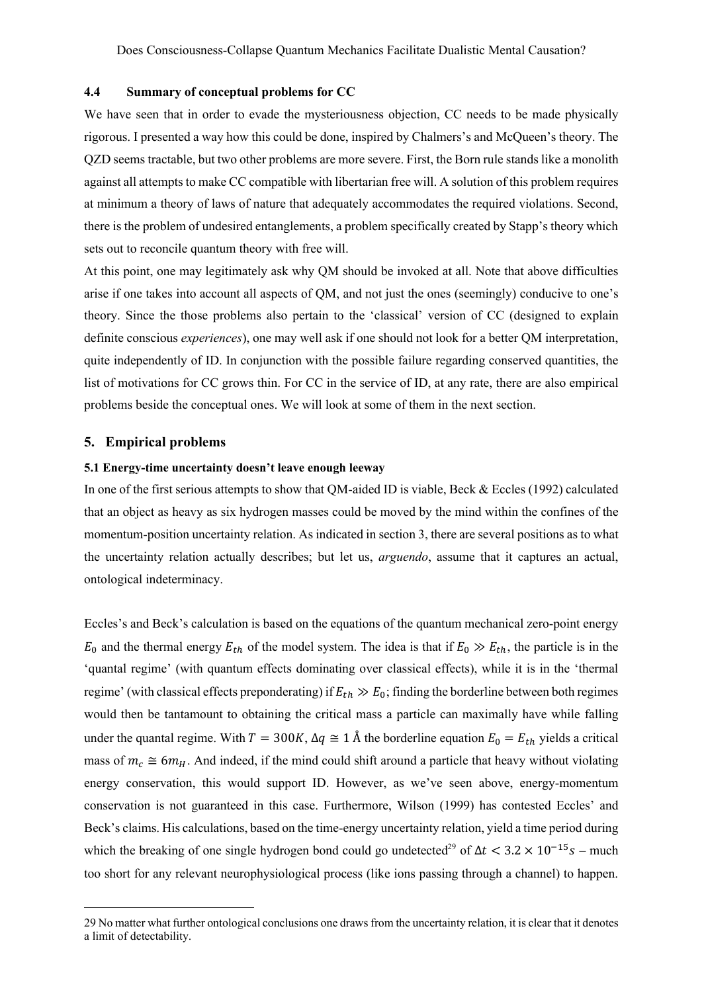### **4.4 Summary of conceptual problems for CC**

We have seen that in order to evade the mysteriousness objection, CC needs to be made physically rigorous. I presented a way how this could be done, inspired by Chalmers's and McQueen's theory. The QZD seems tractable, but two other problems are more severe. First, the Born rule stands like a monolith against all attempts to make CC compatible with libertarian free will. A solution of this problem requires at minimum a theory of laws of nature that adequately accommodates the required violations. Second, there is the problem of undesired entanglements, a problem specifically created by Stapp's theory which sets out to reconcile quantum theory with free will.

At this point, one may legitimately ask why QM should be invoked at all. Note that above difficulties arise if one takes into account all aspects of QM, and not just the ones (seemingly) conducive to one's theory. Since the those problems also pertain to the 'classical' version of CC (designed to explain definite conscious *experiences*), one may well ask if one should not look for a better QM interpretation, quite independently of ID. In conjunction with the possible failure regarding conserved quantities, the list of motivations for CC grows thin. For CC in the service of ID, at any rate, there are also empirical problems beside the conceptual ones. We will look at some of them in the next section.

### **5. Empirical problems**

### **5.1 Energy-time uncertainty doesn't leave enough leeway**

In one of the first serious attempts to show that QM-aided ID is viable, Beck & Eccles (1992) calculated that an object as heavy as six hydrogen masses could be moved by the mind within the confines of the momentum-position uncertainty relation. As indicated in section 3, there are several positions as to what the uncertainty relation actually describes; but let us, *arguendo*, assume that it captures an actual, ontological indeterminacy.

Eccles's and Beck's calculation is based on the equations of the quantum mechanical zero-point energy  $E_0$  and the thermal energy  $E_{th}$  of the model system. The idea is that if  $E_0 \gg E_{th}$ , the particle is in the 'quantal regime' (with quantum effects dominating over classical effects), while it is in the 'thermal regime' (with classical effects preponderating) if  $E_{th} \gg E_0$ ; finding the borderline between both regimes would then be tantamount to obtaining the critical mass a particle can maximally have while falling under the quantal regime. With  $T = 300K$ ,  $\Delta q \approx 1$  Å the borderline equation  $E_0 = E_{th}$  yields a critical mass of  $m_c \cong 6m_H$ . And indeed, if the mind could shift around a particle that heavy without violating energy conservation, this would support ID. However, as we've seen above, energy-momentum conservation is not guaranteed in this case. Furthermore, Wilson (1999) has contested Eccles' and Beck's claims. His calculations, based on the time-energy uncertainty relation, yield a time period during which the breaking of one single hydrogen bond could go undetected<sup>29</sup> of  $\Delta t < 3.2 \times 10^{-15}$  s – much too short for any relevant neurophysiological process (like ions passing through a channel) to happen.

<sup>29</sup> No matter what further ontological conclusions one draws from the uncertainty relation, it is clear that it denotes a limit of detectability.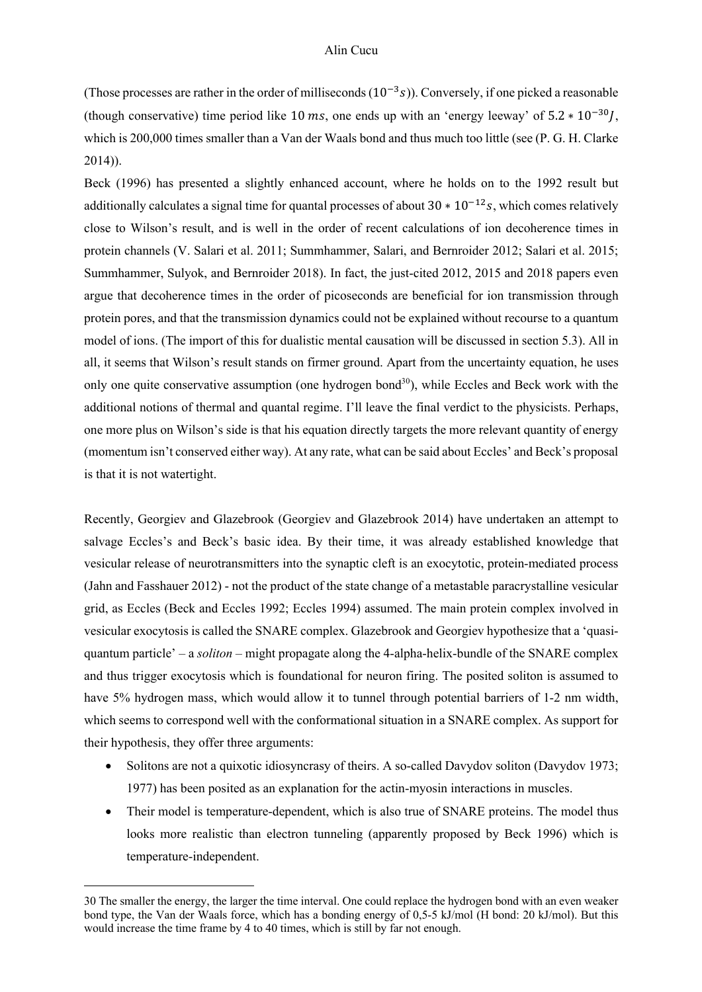(Those processes are rather in the order of milliseconds  $(10^{-3}s)$ ). Conversely, if one picked a reasonable (though conservative) time period like 10 ms, one ends up with an 'energy leeway' of  $5.2 * 10^{-30}$ . which is 200,000 times smaller than a Van der Waals bond and thus much too little (see (P. G. H. Clarke 2014)).

Beck (1996) has presented a slightly enhanced account, where he holds on to the 1992 result but additionally calculates a signal time for quantal processes of about  $30 * 10^{-12} s$ , which comes relatively close to Wilson's result, and is well in the order of recent calculations of ion decoherence times in protein channels (V. Salari et al. 2011; Summhammer, Salari, and Bernroider 2012; Salari et al. 2015; Summhammer, Sulyok, and Bernroider 2018). In fact, the just-cited 2012, 2015 and 2018 papers even argue that decoherence times in the order of picoseconds are beneficial for ion transmission through protein pores, and that the transmission dynamics could not be explained without recourse to a quantum model of ions. (The import of this for dualistic mental causation will be discussed in section 5.3). All in all, it seems that Wilson's result stands on firmer ground. Apart from the uncertainty equation, he uses only one quite conservative assumption (one hydrogen bond $30$ ), while Eccles and Beck work with the additional notions of thermal and quantal regime. I'll leave the final verdict to the physicists. Perhaps, one more plus on Wilson's side is that his equation directly targets the more relevant quantity of energy (momentum isn't conserved either way). At any rate, what can be said about Eccles' and Beck's proposal is that it is not watertight.

Recently, Georgiev and Glazebrook (Georgiev and Glazebrook 2014) have undertaken an attempt to salvage Eccles's and Beck's basic idea. By their time, it was already established knowledge that vesicular release of neurotransmitters into the synaptic cleft is an exocytotic, protein-mediated process (Jahn and Fasshauer 2012) - not the product of the state change of a metastable paracrystalline vesicular grid, as Eccles (Beck and Eccles 1992; Eccles 1994) assumed. The main protein complex involved in vesicular exocytosis is called the SNARE complex. Glazebrook and Georgiev hypothesize that a 'quasiquantum particle' – a *soliton* – might propagate along the 4-alpha-helix-bundle of the SNARE complex and thus trigger exocytosis which is foundational for neuron firing. The posited soliton is assumed to have 5% hydrogen mass, which would allow it to tunnel through potential barriers of 1-2 nm width, which seems to correspond well with the conformational situation in a SNARE complex. As support for their hypothesis, they offer three arguments:

- Solitons are not a quixotic idiosyncrasy of theirs. A so-called Davydov soliton (Davydov 1973; 1977) has been posited as an explanation for the actin-myosin interactions in muscles.
- Their model is temperature-dependent, which is also true of SNARE proteins. The model thus looks more realistic than electron tunneling (apparently proposed by Beck 1996) which is temperature-independent.

<sup>30</sup> The smaller the energy, the larger the time interval. One could replace the hydrogen bond with an even weaker bond type, the Van der Waals force, which has a bonding energy of 0,5-5 kJ/mol (H bond: 20 kJ/mol). But this would increase the time frame by 4 to 40 times, which is still by far not enough.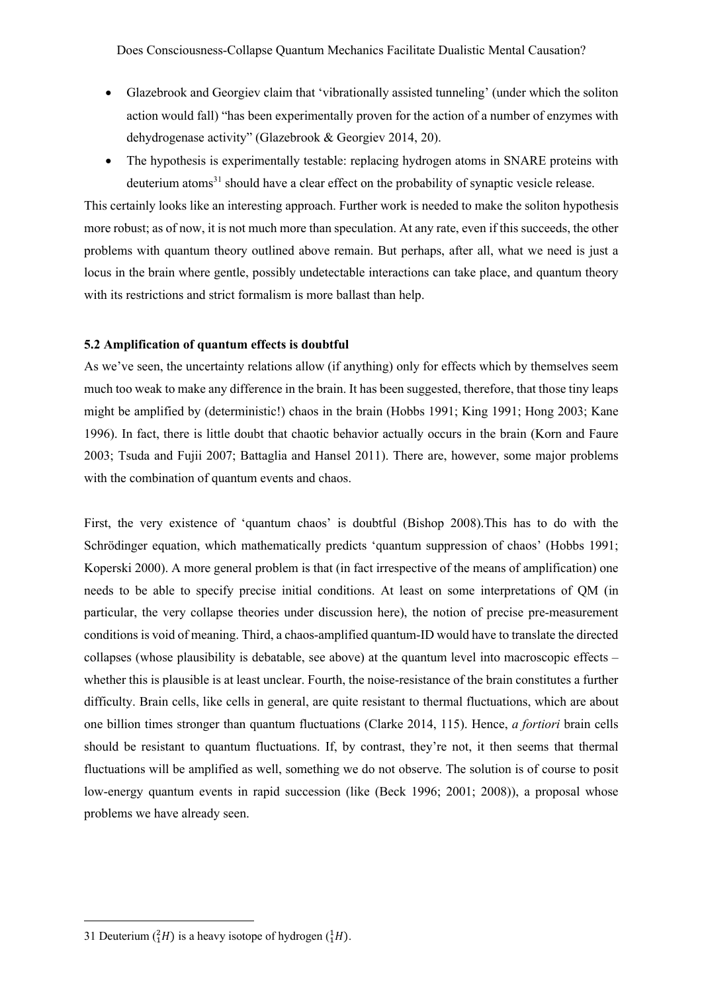Does Consciousness-Collapse Quantum Mechanics Facilitate Dualistic Mental Causation?

- Glazebrook and Georgiev claim that 'vibrationally assisted tunneling' (under which the soliton action would fall) "has been experimentally proven for the action of a number of enzymes with dehydrogenase activity" (Glazebrook & Georgiev 2014, 20).
- The hypothesis is experimentally testable: replacing hydrogen atoms in SNARE proteins with deuterium atoms<sup>31</sup> should have a clear effect on the probability of synaptic vesicle release.

This certainly looks like an interesting approach. Further work is needed to make the soliton hypothesis more robust; as of now, it is not much more than speculation. At any rate, even if this succeeds, the other problems with quantum theory outlined above remain. But perhaps, after all, what we need is just a locus in the brain where gentle, possibly undetectable interactions can take place, and quantum theory with its restrictions and strict formalism is more ballast than help.

# **5.2 Amplification of quantum effects is doubtful**

As we've seen, the uncertainty relations allow (if anything) only for effects which by themselves seem much too weak to make any difference in the brain. It has been suggested, therefore, that those tiny leaps might be amplified by (deterministic!) chaos in the brain (Hobbs 1991; King 1991; Hong 2003; Kane 1996). In fact, there is little doubt that chaotic behavior actually occurs in the brain (Korn and Faure 2003; Tsuda and Fujii 2007; Battaglia and Hansel 2011). There are, however, some major problems with the combination of quantum events and chaos.

First, the very existence of 'quantum chaos' is doubtful (Bishop 2008).This has to do with the Schrödinger equation, which mathematically predicts 'quantum suppression of chaos' (Hobbs 1991; Koperski 2000). A more general problem is that (in fact irrespective of the means of amplification) one needs to be able to specify precise initial conditions. At least on some interpretations of QM (in particular, the very collapse theories under discussion here), the notion of precise pre-measurement conditions is void of meaning. Third, a chaos-amplified quantum-ID would have to translate the directed collapses (whose plausibility is debatable, see above) at the quantum level into macroscopic effects – whether this is plausible is at least unclear. Fourth, the noise-resistance of the brain constitutes a further difficulty. Brain cells, like cells in general, are quite resistant to thermal fluctuations, which are about one billion times stronger than quantum fluctuations (Clarke 2014, 115). Hence, *a fortiori* brain cells should be resistant to quantum fluctuations. If, by contrast, they're not, it then seems that thermal fluctuations will be amplified as well, something we do not observe. The solution is of course to posit low-energy quantum events in rapid succession (like (Beck 1996; 2001; 2008)), a proposal whose problems we have already seen.

<sup>31</sup> Deuterium  $({}^{2}_{1}H)$  is a heavy isotope of hydrogen  $({}^{1}_{1}H)$ .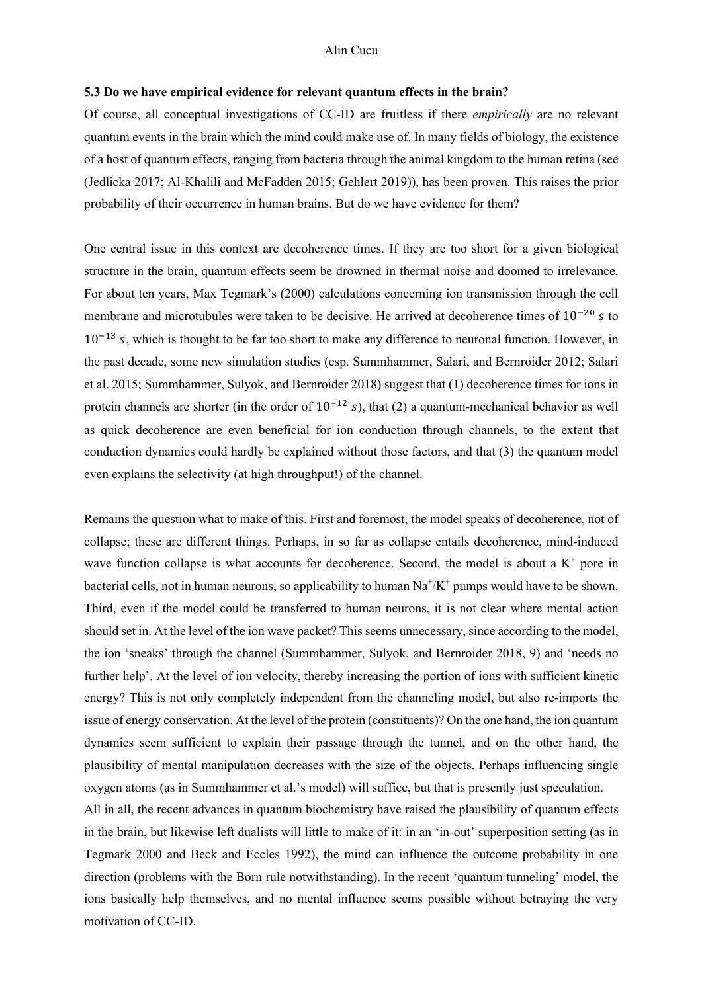### **5.3 Do we have empirical evidence for relevant quantum effects in the brain?**

Of course, all conceptual investigations of CC-ID are fruitless if there *empirically* are no relevant quantum events in the brain which the mind could make use of. In many fields of biology, the existence of a host of quantum effects, ranging from bacteria through the animal kingdom to the human retina (see (Jedlicka 2017; Al-Khalili and McFadden 2015; Gehlert 2019)), has been proven. This raises the prior probability of their occurrence in human brains. But do we have evidence for them?

One central issue in this context are decoherence times. If they are too short for a given biological structure in the brain, quantum effects seem be drowned in thermal noise and doomed to irrelevance. For about ten years, Max Tegmark's (2000) calculations concerning ion transmission through the cell membrane and microtubules were taken to be decisive. He arrived at decoherence times of  $10^{-20}$  s to  $10^{-13}$  s, which is thought to be far too short to make any difference to neuronal function. However, in the past decade, some new simulation studies (esp. Summhammer, Salari, and Bernroider 2012; Salari et al. 2015; Summhammer, Sulyok, and Bernroider 2018) suggest that (1) decoherence times for ions in protein channels are shorter (in the order of  $10^{-12}$  s), that (2) a quantum-mechanical behavior as well as quick decoherence are even beneficial for ion conduction through channels, to the extent that conduction dynamics could hardly be explained without those factors, and that (3) the quantum model even explains the selectivity (at high throughput!) of the channel.

Remains the question what to make of this. First and foremost, the model speaks of decoherence, not of collapse; these are different things. Perhaps, in so far as collapse entails decoherence, mind-induced wave function collapse is what accounts for decoherence. Second, the model is about a  $K^+$  pore in bacterial cells, not in human neurons, so applicability to human  $\rm Na^+/K^+$  pumps would have to be shown. Third, even if the model could be transferred to human neurons, it is not clear where mental action should set in. At the level of the ion wave packet? This seems unnecessary, since according to the model, the ion 'sneaks' through the channel (Summhammer, Sulyok, and Bernroider 2018, 9) and 'needs no further help'. At the level of ion velocity, thereby increasing the portion of ions with sufficient kinetic energy? This is not only completely independent from the channeling model, but also re-imports the issue of energy conservation. At the level of the protein (constituents)? On the one hand, the ion quantum dynamics seem sufficient to explain their passage through the tunnel, and on the other hand, the plausibility of mental manipulation decreases with the size of the objects. Perhaps influencing single oxygen atoms (as in Summhammer et al.'s model) will suffice, but that is presently just speculation.

All in all, the recent advances in quantum biochemistry have raised the plausibility of quantum effects in the brain, but likewise left dualists will little to make of it: in an 'in-out' superposition setting (as in Tegmark 2000 and Beck and Eccles 1992), the mind can influence the outcome probability in one direction (problems with the Born rule notwithstanding). In the recent 'quantum tunneling' model, the ions basically help themselves, and no mental influence seems possible without betraying the very motivation of CC-ID.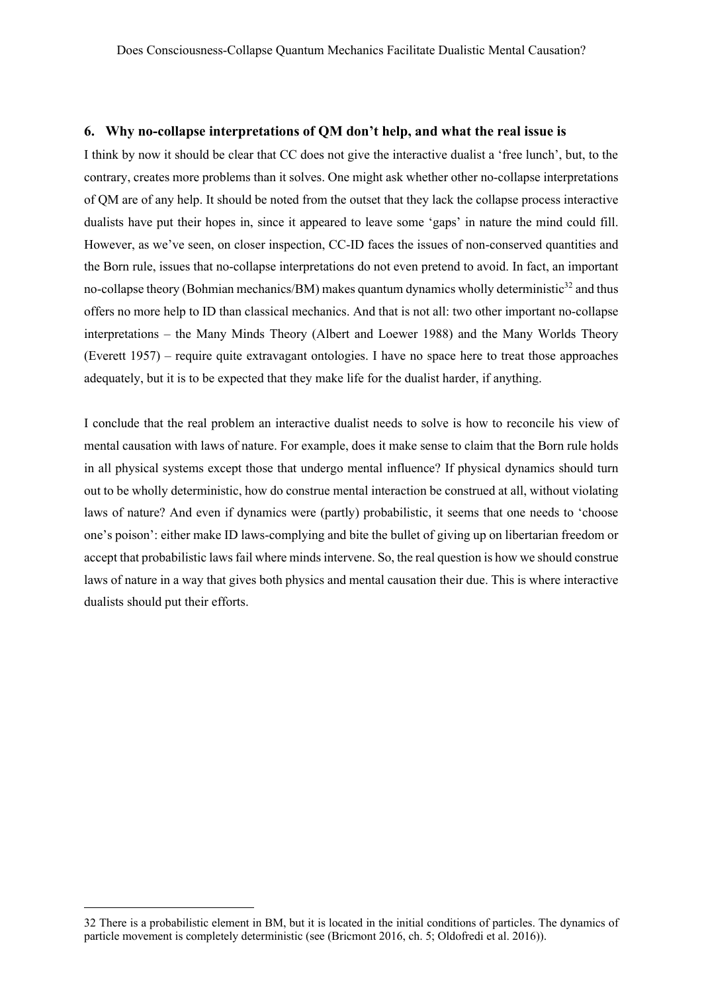### **6. Why no-collapse interpretations of QM don't help, and what the real issue is**

I think by now it should be clear that CC does not give the interactive dualist a 'free lunch', but, to the contrary, creates more problems than it solves. One might ask whether other no-collapse interpretations of QM are of any help. It should be noted from the outset that they lack the collapse process interactive dualists have put their hopes in, since it appeared to leave some 'gaps' in nature the mind could fill. However, as we've seen, on closer inspection, CC-ID faces the issues of non-conserved quantities and the Born rule, issues that no-collapse interpretations do not even pretend to avoid. In fact, an important no-collapse theory (Bohmian mechanics/BM) makes quantum dynamics wholly deterministic $32$  and thus offers no more help to ID than classical mechanics. And that is not all: two other important no-collapse interpretations – the Many Minds Theory (Albert and Loewer 1988) and the Many Worlds Theory (Everett 1957) – require quite extravagant ontologies. I have no space here to treat those approaches adequately, but it is to be expected that they make life for the dualist harder, if anything.

I conclude that the real problem an interactive dualist needs to solve is how to reconcile his view of mental causation with laws of nature. For example, does it make sense to claim that the Born rule holds in all physical systems except those that undergo mental influence? If physical dynamics should turn out to be wholly deterministic, how do construe mental interaction be construed at all, without violating laws of nature? And even if dynamics were (partly) probabilistic, it seems that one needs to 'choose one's poison': either make ID laws-complying and bite the bullet of giving up on libertarian freedom or accept that probabilistic laws fail where minds intervene. So, the real question is how we should construe laws of nature in a way that gives both physics and mental causation their due. This is where interactive dualists should put their efforts.

<sup>32</sup> There is a probabilistic element in BM, but it is located in the initial conditions of particles. The dynamics of particle movement is completely deterministic (see (Bricmont 2016, ch. 5; Oldofredi et al. 2016)).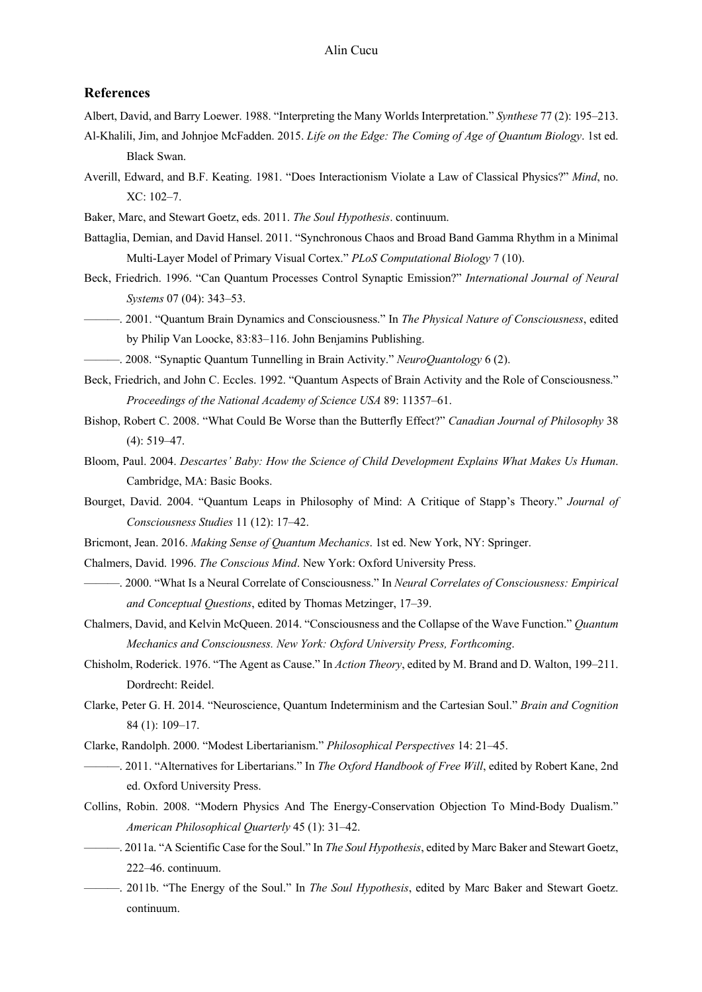### **References**

Albert, David, and Barry Loewer. 1988. "Interpreting the Many Worlds Interpretation." *Synthese* 77 (2): 195–213.

- Al-Khalili, Jim, and Johnjoe McFadden. 2015. *Life on the Edge: The Coming of Age of Quantum Biology*. 1st ed. Black Swan.
- Averill, Edward, and B.F. Keating. 1981. "Does Interactionism Violate a Law of Classical Physics?" *Mind*, no. XC: 102–7.
- Baker, Marc, and Stewart Goetz, eds. 2011. *The Soul Hypothesis*. continuum.
- Battaglia, Demian, and David Hansel. 2011. "Synchronous Chaos and Broad Band Gamma Rhythm in a Minimal Multi-Layer Model of Primary Visual Cortex." *PLoS Computational Biology* 7 (10).
- Beck, Friedrich. 1996. "Can Quantum Processes Control Synaptic Emission?" *International Journal of Neural Systems* 07 (04): 343–53.

———. 2001. "Quantum Brain Dynamics and Consciousness." In *The Physical Nature of Consciousness*, edited by Philip Van Loocke, 83:83–116. John Benjamins Publishing.

- ———. 2008. "Synaptic Quantum Tunnelling in Brain Activity." *NeuroQuantology* 6 (2).
- Beck, Friedrich, and John C. Eccles. 1992. "Quantum Aspects of Brain Activity and the Role of Consciousness." *Proceedings of the National Academy of Science USA* 89: 11357–61.
- Bishop, Robert C. 2008. "What Could Be Worse than the Butterfly Effect?" *Canadian Journal of Philosophy* 38 (4): 519–47.
- Bloom, Paul. 2004. *Descartes' Baby: How the Science of Child Development Explains What Makes Us Human*. Cambridge, MA: Basic Books.
- Bourget, David. 2004. "Quantum Leaps in Philosophy of Mind: A Critique of Stapp's Theory." *Journal of Consciousness Studies* 11 (12): 17–42.
- Bricmont, Jean. 2016. *Making Sense of Quantum Mechanics*. 1st ed. New York, NY: Springer.
- Chalmers, David. 1996. *The Conscious Mind*. New York: Oxford University Press.
- ———. 2000. "What Is a Neural Correlate of Consciousness." In *Neural Correlates of Consciousness: Empirical and Conceptual Questions*, edited by Thomas Metzinger, 17–39.
- Chalmers, David, and Kelvin McQueen. 2014. "Consciousness and the Collapse of the Wave Function." *Quantum Mechanics and Consciousness. New York: Oxford University Press, Forthcoming*.
- Chisholm, Roderick. 1976. "The Agent as Cause." In *Action Theory*, edited by M. Brand and D. Walton, 199–211. Dordrecht: Reidel.
- Clarke, Peter G. H. 2014. "Neuroscience, Quantum Indeterminism and the Cartesian Soul." *Brain and Cognition* 84 (1): 109–17.
- Clarke, Randolph. 2000. "Modest Libertarianism." *Philosophical Perspectives* 14: 21–45.
- ———. 2011. "Alternatives for Libertarians." In *The Oxford Handbook of Free Will*, edited by Robert Kane, 2nd ed. Oxford University Press.
- Collins, Robin. 2008. "Modern Physics And The Energy-Conservation Objection To Mind-Body Dualism." *American Philosophical Quarterly* 45 (1): 31–42.
- ———. 2011a. "A Scientific Case for the Soul." In *The Soul Hypothesis*, edited by Marc Baker and Stewart Goetz, 222–46. continuum.
- ———. 2011b. "The Energy of the Soul." In *The Soul Hypothesis*, edited by Marc Baker and Stewart Goetz. continuum.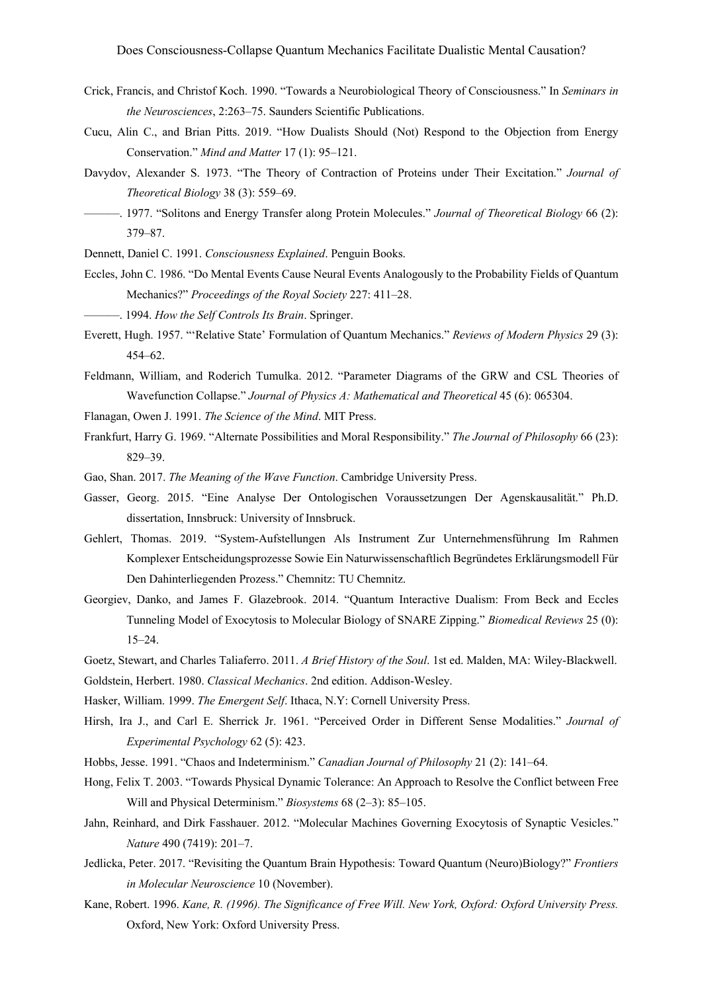- Crick, Francis, and Christof Koch. 1990. "Towards a Neurobiological Theory of Consciousness." In *Seminars in the Neurosciences*, 2:263–75. Saunders Scientific Publications.
- Cucu, Alin C., and Brian Pitts. 2019. "How Dualists Should (Not) Respond to the Objection from Energy Conservation." *Mind and Matter* 17 (1): 95–121.
- Davydov, Alexander S. 1973. "The Theory of Contraction of Proteins under Their Excitation." *Journal of Theoretical Biology* 38 (3): 559–69.
- ———. 1977. "Solitons and Energy Transfer along Protein Molecules." *Journal of Theoretical Biology* 66 (2): 379–87.
- Dennett, Daniel C. 1991. *Consciousness Explained*. Penguin Books.
- Eccles, John C. 1986. "Do Mental Events Cause Neural Events Analogously to the Probability Fields of Quantum Mechanics?" *Proceedings of the Royal Society* 227: 411–28.
- ———. 1994. *How the Self Controls Its Brain*. Springer.
- Everett, Hugh. 1957. "'Relative State' Formulation of Quantum Mechanics." *Reviews of Modern Physics* 29 (3): 454–62.
- Feldmann, William, and Roderich Tumulka. 2012. "Parameter Diagrams of the GRW and CSL Theories of Wavefunction Collapse." *Journal of Physics A: Mathematical and Theoretical* 45 (6): 065304.
- Flanagan, Owen J. 1991. *The Science of the Mind*. MIT Press.
- Frankfurt, Harry G. 1969. "Alternate Possibilities and Moral Responsibility." *The Journal of Philosophy* 66 (23): 829–39.
- Gao, Shan. 2017. *The Meaning of the Wave Function*. Cambridge University Press.
- Gasser, Georg. 2015. "Eine Analyse Der Ontologischen Voraussetzungen Der Agenskausalität." Ph.D. dissertation, Innsbruck: University of Innsbruck.
- Gehlert, Thomas. 2019. "System-Aufstellungen Als Instrument Zur Unternehmensführung Im Rahmen Komplexer Entscheidungsprozesse Sowie Ein Naturwissenschaftlich Begründetes Erklärungsmodell Für Den Dahinterliegenden Prozess." Chemnitz: TU Chemnitz.
- Georgiev, Danko, and James F. Glazebrook. 2014. "Quantum Interactive Dualism: From Beck and Eccles Tunneling Model of Exocytosis to Molecular Biology of SNARE Zipping." *Biomedical Reviews* 25 (0): 15–24.
- Goetz, Stewart, and Charles Taliaferro. 2011. *A Brief History of the Soul*. 1st ed. Malden, MA: Wiley-Blackwell. Goldstein, Herbert. 1980. *Classical Mechanics*. 2nd edition. Addison-Wesley.
- Hasker, William. 1999. *The Emergent Self*. Ithaca, N.Y: Cornell University Press.
- Hirsh, Ira J., and Carl E. Sherrick Jr. 1961. "Perceived Order in Different Sense Modalities." *Journal of Experimental Psychology* 62 (5): 423.
- Hobbs, Jesse. 1991. "Chaos and Indeterminism." *Canadian Journal of Philosophy* 21 (2): 141–64.
- Hong, Felix T. 2003. "Towards Physical Dynamic Tolerance: An Approach to Resolve the Conflict between Free Will and Physical Determinism." *Biosystems* 68 (2–3): 85–105.
- Jahn, Reinhard, and Dirk Fasshauer. 2012. "Molecular Machines Governing Exocytosis of Synaptic Vesicles." *Nature* 490 (7419): 201–7.
- Jedlicka, Peter. 2017. "Revisiting the Quantum Brain Hypothesis: Toward Quantum (Neuro)Biology?" *Frontiers in Molecular Neuroscience* 10 (November).
- Kane, Robert. 1996. *Kane, R. (1996). The Significance of Free Will. New York, Oxford: Oxford University Press.* Oxford, New York: Oxford University Press.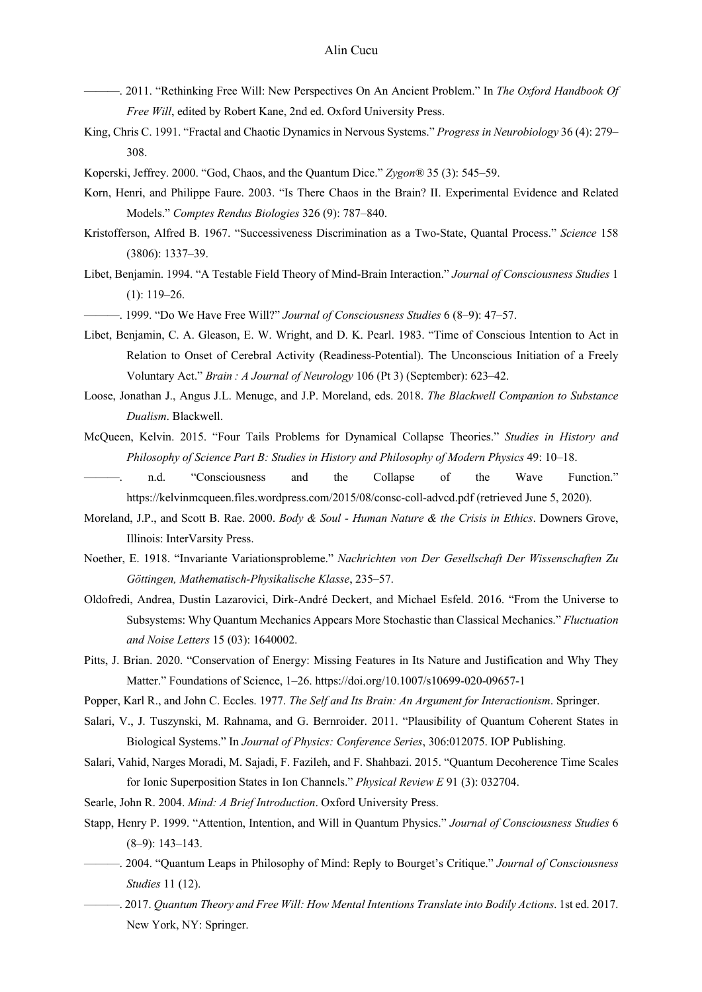- ———. 2011. "Rethinking Free Will: New Perspectives On An Ancient Problem." In *The Oxford Handbook Of Free Will*, edited by Robert Kane, 2nd ed. Oxford University Press.
- King, Chris C. 1991. "Fractal and Chaotic Dynamics in Nervous Systems." *Progress in Neurobiology* 36 (4): 279– 308.
- Koperski, Jeffrey. 2000. "God, Chaos, and the Quantum Dice." *Zygon®* 35 (3): 545–59.
- Korn, Henri, and Philippe Faure. 2003. "Is There Chaos in the Brain? II. Experimental Evidence and Related Models." *Comptes Rendus Biologies* 326 (9): 787–840.
- Kristofferson, Alfred B. 1967. "Successiveness Discrimination as a Two-State, Quantal Process." *Science* 158 (3806): 1337–39.
- Libet, Benjamin. 1994. "A Testable Field Theory of Mind-Brain Interaction." *Journal of Consciousness Studies* 1 (1): 119–26.
- ———. 1999. "Do We Have Free Will?" *Journal of Consciousness Studies* 6 (8–9): 47–57.
- Libet, Benjamin, C. A. Gleason, E. W. Wright, and D. K. Pearl. 1983. "Time of Conscious Intention to Act in Relation to Onset of Cerebral Activity (Readiness-Potential). The Unconscious Initiation of a Freely Voluntary Act." *Brain : A Journal of Neurology* 106 (Pt 3) (September): 623–42.
- Loose, Jonathan J., Angus J.L. Menuge, and J.P. Moreland, eds. 2018. *The Blackwell Companion to Substance Dualism*. Blackwell.
- McQueen, Kelvin. 2015. "Four Tails Problems for Dynamical Collapse Theories." *Studies in History and Philosophy of Science Part B: Studies in History and Philosophy of Modern Physics* 49: 10–18.
	- ———. n.d. "Consciousness and the Collapse of the Wave Function." https://kelvinmcqueen.files.wordpress.com/2015/08/consc-coll-advcd.pdf (retrieved June 5, 2020).
- Moreland, J.P., and Scott B. Rae. 2000. *Body & Soul - Human Nature & the Crisis in Ethics*. Downers Grove, Illinois: InterVarsity Press.
- Noether, E. 1918. "Invariante Variationsprobleme." *Nachrichten von Der Gesellschaft Der Wissenschaften Zu Göttingen, Mathematisch-Physikalische Klasse*, 235–57.
- Oldofredi, Andrea, Dustin Lazarovici, Dirk-André Deckert, and Michael Esfeld. 2016. "From the Universe to Subsystems: Why Quantum Mechanics Appears More Stochastic than Classical Mechanics." *Fluctuation and Noise Letters* 15 (03): 1640002.
- Pitts, J. Brian. 2020. "Conservation of Energy: Missing Features in Its Nature and Justification and Why They Matter." Foundations of Science, 1–26. https://doi.org/10.1007/s10699-020-09657-1
- Popper, Karl R., and John C. Eccles. 1977. *The Self and Its Brain: An Argument for Interactionism*. Springer.
- Salari, V., J. Tuszynski, M. Rahnama, and G. Bernroider. 2011. "Plausibility of Quantum Coherent States in Biological Systems." In *Journal of Physics: Conference Series*, 306:012075. IOP Publishing.
- Salari, Vahid, Narges Moradi, M. Sajadi, F. Fazileh, and F. Shahbazi. 2015. "Quantum Decoherence Time Scales for Ionic Superposition States in Ion Channels." *Physical Review E* 91 (3): 032704.
- Searle, John R. 2004. *Mind: A Brief Introduction*. Oxford University Press.
- Stapp, Henry P. 1999. "Attention, Intention, and Will in Quantum Physics." *Journal of Consciousness Studies* 6 (8–9): 143–143.
- ———. 2004. "Quantum Leaps in Philosophy of Mind: Reply to Bourget's Critique." *Journal of Consciousness Studies* 11 (12).
- ———. 2017. *Quantum Theory and Free Will: How Mental Intentions Translate into Bodily Actions*. 1st ed. 2017. New York, NY: Springer.